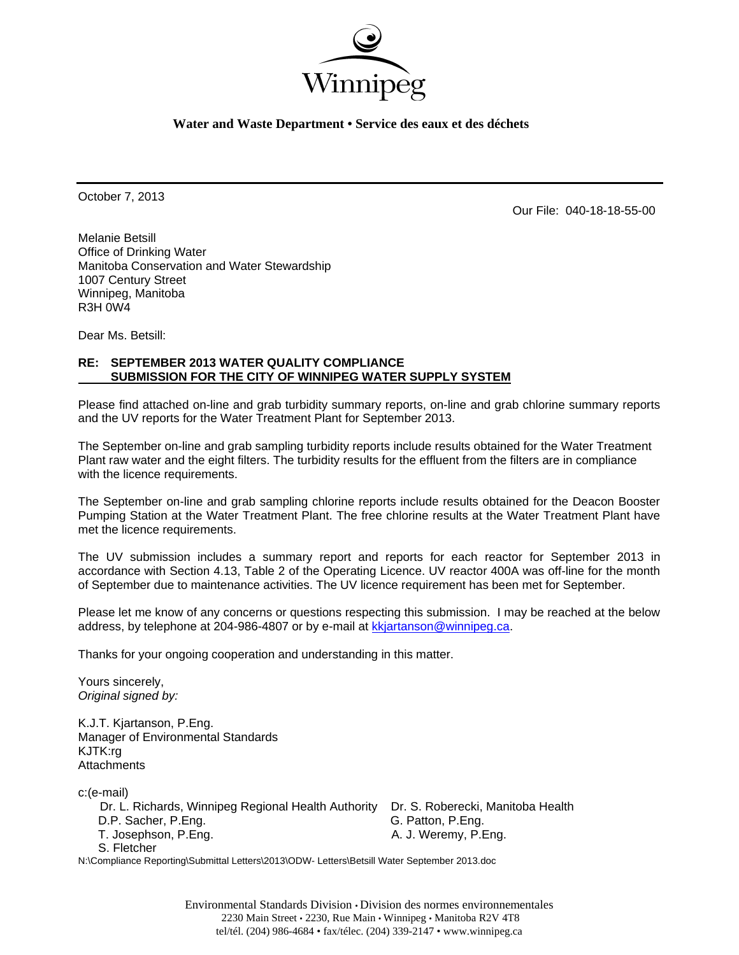

**Water and Waste Department • Service des eaux et des déchets** 

October 7, 2013

Our File: 040-18-18-55-00

Melanie Betsill Office of Drinking Water Manitoba Conservation and Water Stewardship 1007 Century Street Winnipeg, Manitoba R3H 0W4

Dear Ms. Betsill:

### **RE: SEPTEMBER 2013 WATER QUALITY COMPLIANCE SUBMISSION FOR THE CITY OF WINNIPEG WATER SUPPLY SYSTEM**

Please find attached on-line and grab turbidity summary reports, on-line and grab chlorine summary reports and the UV reports for the Water Treatment Plant for September 2013.

The September on-line and grab sampling turbidity reports include results obtained for the Water Treatment Plant raw water and the eight filters. The turbidity results for the effluent from the filters are in compliance with the licence requirements.

The September on-line and grab sampling chlorine reports include results obtained for the Deacon Booster Pumping Station at the Water Treatment Plant. The free chlorine results at the Water Treatment Plant have met the licence requirements.

The UV submission includes a summary report and reports for each reactor for September 2013 in accordance with Section 4.13, Table 2 of the Operating Licence. UV reactor 400A was off-line for the month of September due to maintenance activities. The UV licence requirement has been met for September.

Please let me know of any concerns or questions respecting this submission. I may be reached at the below address, by telephone at 204-986-4807 or by e-mail at kkjartanson@winnipeg.ca.

Thanks for your ongoing cooperation and understanding in this matter.

Yours sincerely, *Original signed by:* 

K.J.T. Kjartanson, P.Eng. Manager of Environmental Standards KJTK:rg **Attachments** 

c:(e-mail)

 Dr. L. Richards, Winnipeg Regional Health Authority Dr. S. Roberecki, Manitoba Health D.P. Sacher, P.Eng. G. Patton, P.Eng.

T. Josephson, P.Eng. **A. J. Weremy, P.Eng.** A. J. Weremy, P.Eng.

S. Fletcher

N:\Compliance Reporting\Submittal Letters\2013\ODW- Letters\Betsill Water September 2013.doc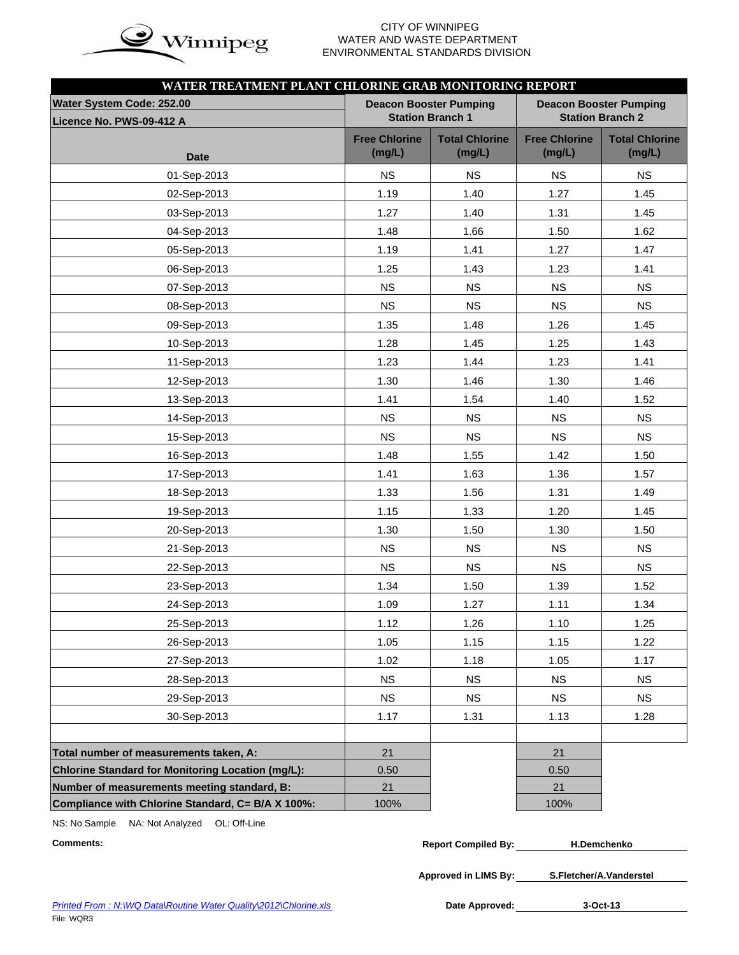

### **CITY OF WINNIPEG**  $\mathbf{in}$   $\mathbf{\alpha}$  WATER AND WASTE DEPARTMENT ENVIRONMENTAL STANDARDS DIVISION

| WATER TREATMENT PLANT CHLORINE GRAB MONITORING REPORT |                                |                                                          |                                |                                                          |
|-------------------------------------------------------|--------------------------------|----------------------------------------------------------|--------------------------------|----------------------------------------------------------|
| Water System Code: 252.00<br>Licence No. PWS-09-412 A |                                | <b>Deacon Booster Pumping</b><br><b>Station Branch 1</b> |                                | <b>Deacon Booster Pumping</b><br><b>Station Branch 2</b> |
| <b>Date</b>                                           | <b>Free Chlorine</b><br>(mg/L) | <b>Total Chlorine</b><br>(mg/L)                          | <b>Free Chlorine</b><br>(mg/L) | <b>Total Chlorine</b><br>(mg/L)                          |
| 01-Sep-2013                                           | <b>NS</b>                      | <b>NS</b>                                                | <b>NS</b>                      | <b>NS</b>                                                |
| 02-Sep-2013                                           | 1.19                           | 1.40                                                     | 1.27                           | 1.45                                                     |
| 03-Sep-2013                                           | 1.27                           | 1.40                                                     | 1.31                           | 1.45                                                     |
| 04-Sep-2013                                           | 1.48                           | 1.66                                                     | 1.50                           | 1.62                                                     |
| 05-Sep-2013                                           | 1.19                           | 1.41                                                     | 1.27                           | 1.47                                                     |
| 06-Sep-2013                                           | 1.25                           | 1.43                                                     | 1.23                           | 1.41                                                     |
| 07-Sep-2013                                           | <b>NS</b>                      | <b>NS</b>                                                | <b>NS</b>                      | <b>NS</b>                                                |
| 08-Sep-2013                                           | <b>NS</b>                      | <b>NS</b>                                                | <b>NS</b>                      | <b>NS</b>                                                |
| 09-Sep-2013                                           | 1.35                           | 1.48                                                     | 1.26                           | 1.45                                                     |
| 10-Sep-2013                                           | 1.28                           | 1.45                                                     | 1.25                           | 1.43                                                     |
| 11-Sep-2013                                           | 1.23                           | 1.44                                                     | 1.23                           | 1.41                                                     |
| 12-Sep-2013                                           | 1.30                           | 1.46                                                     | 1.30                           | 1.46                                                     |
| 13-Sep-2013                                           | 1.41                           | 1.54                                                     | 1.40                           | 1.52                                                     |
| 14-Sep-2013                                           | <b>NS</b>                      | <b>NS</b>                                                | <b>NS</b>                      | <b>NS</b>                                                |
| 15-Sep-2013                                           | <b>NS</b>                      | <b>NS</b>                                                | <b>NS</b>                      | <b>NS</b>                                                |
| 16-Sep-2013                                           | 1.48                           | 1.55                                                     | 1.42                           | 1.50                                                     |
| 17-Sep-2013                                           | 1.41                           | 1.63                                                     | 1.36                           | 1.57                                                     |
| 18-Sep-2013                                           | 1.33                           | 1.56                                                     | 1.31                           | 1.49                                                     |
| 19-Sep-2013                                           | 1.15                           | 1.33                                                     | 1.20                           | 1.45                                                     |
| 20-Sep-2013                                           | 1.30                           | 1.50                                                     | 1.30                           | 1.50                                                     |
| 21-Sep-2013                                           | <b>NS</b>                      | <b>NS</b>                                                | <b>NS</b>                      | <b>NS</b>                                                |
| 22-Sep-2013                                           | <b>NS</b>                      | <b>NS</b>                                                | <b>NS</b>                      | <b>NS</b>                                                |
| 23-Sep-2013                                           | 1.34                           | 1.50                                                     | 1.39                           | 1.52                                                     |
| 24-Sep-2013                                           | 1.09                           | 1.27                                                     | 1.11                           | 1.34                                                     |
| 25-Sep-2013                                           | 1.12                           | 1.26                                                     | 1.10                           | 1.25                                                     |
| 26-Sep-2013                                           | 1.05                           | 1.15                                                     | 1.15                           | 1.22                                                     |
| 27-Sep-2013                                           | 1.02                           | 1.18                                                     | 1.05                           | 1.17                                                     |
| 28-Sep-2013                                           | <b>NS</b>                      | <b>NS</b>                                                | <b>NS</b>                      | <b>NS</b>                                                |
| 29-Sep-2013                                           | NS                             | <b>NS</b>                                                | <b>NS</b>                      | <b>NS</b>                                                |
| 30-Sep-2013                                           | 1.17                           | 1.31                                                     | 1.13                           | 1.28                                                     |
|                                                       |                                |                                                          |                                |                                                          |
| Total number of measurements taken, A:                | 21                             |                                                          | 21                             |                                                          |
| Chlorine Standard for Monitoring Location (mg/L):     | 0.50                           |                                                          | 0.50                           |                                                          |
| Number of measurements meeting standard, B:           | 21                             |                                                          | 21                             |                                                          |
| Compliance with Chlorine Standard, C= B/A X 100%:     | 100%                           |                                                          | 100%                           |                                                          |

NS: No Sample NA: Not Analyzed OL: Off-Line

 $Comments:$ 

| <b>Report Compiled By:</b> | H.Demchenko |
|----------------------------|-------------|
|                            |             |

**Approved in LIMS By: S.Fletcher/A.Vanderstel**

Date Approved: 3-Oct-13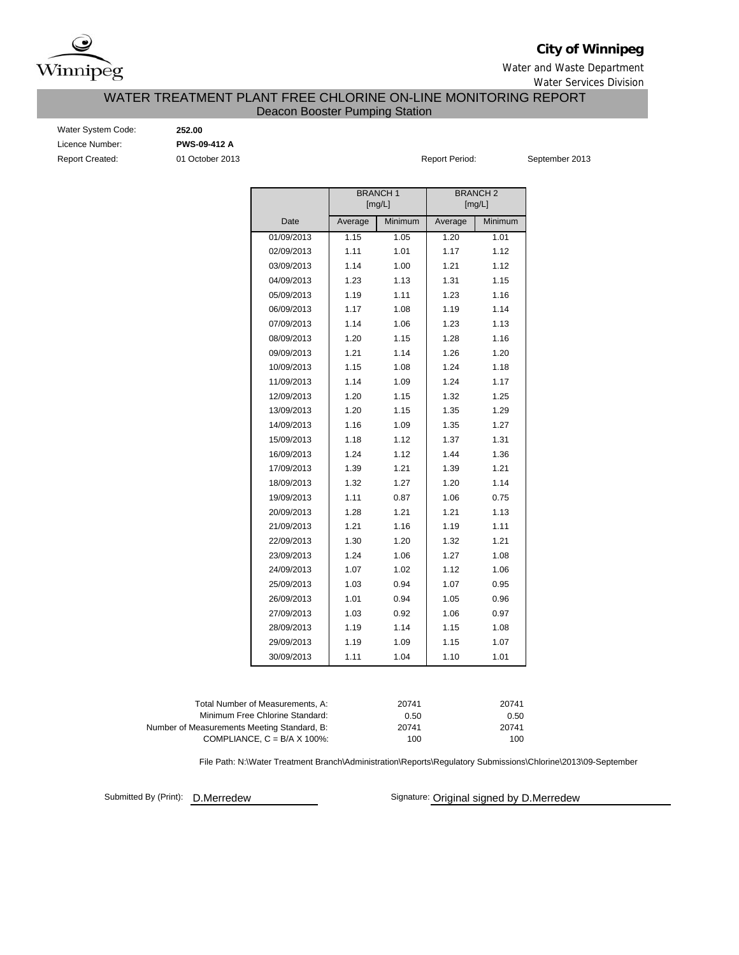

### **City of Winnipeg**

Water and Waste Department Water Services Division

### WATER TREATMENT PLANT FREE CHLORINE ON-LINE MONITORING REPORT Deacon Booster Pumping Station

Water System Code: **252.00** Licence Number: **PWS-09-412 A** Report Created: 01 October 2013

Report Period: September 2013

|            |         | <b>BRANCH1</b><br>[mg/L] |         | <b>BRANCH2</b><br>[mg/L] |
|------------|---------|--------------------------|---------|--------------------------|
| Date       | Average | Minimum                  | Average | Minimum                  |
| 01/09/2013 | 1.15    | 1.05                     | 1.20    | 1.01                     |
| 02/09/2013 | 1.11    | 1.01                     | 1.17    | 1.12                     |
| 03/09/2013 | 1.14    | 1.00                     | 1.21    | 1.12                     |
| 04/09/2013 | 1.23    | 1.13                     | 1.31    | 1.15                     |
| 05/09/2013 | 1.19    | 1.11                     | 1.23    | 1.16                     |
| 06/09/2013 | 1.17    | 1.08                     | 1.19    | 1.14                     |
| 07/09/2013 | 1.14    | 1.06                     | 1.23    | 1.13                     |
| 08/09/2013 | 1.20    | 1.15                     | 1.28    | 1.16                     |
| 09/09/2013 | 1.21    | 1.14                     | 1.26    | 1.20                     |
| 10/09/2013 | 1.15    | 1.08                     | 1.24    | 1.18                     |
| 11/09/2013 | 1.14    | 1.09                     | 1.24    | 1.17                     |
| 12/09/2013 | 1.20    | 1.15                     | 1.32    | 1.25                     |
| 13/09/2013 | 1.20    | 1.15                     | 1.35    | 1.29                     |
| 14/09/2013 | 1.16    | 1.09                     | 1.35    | 1.27                     |
| 15/09/2013 | 1.18    | 1.12                     | 1.37    | 1.31                     |
| 16/09/2013 | 1.24    | 1.12                     | 1.44    | 1.36                     |
| 17/09/2013 | 1.39    | 1.21                     | 1.39    | 1.21                     |
| 18/09/2013 | 1.32    | 1.27                     | 1.20    | 1.14                     |
| 19/09/2013 | 1.11    | 0.87                     | 1.06    | 0.75                     |
| 20/09/2013 | 1.28    | 1.21                     | 1.21    | 1.13                     |
| 21/09/2013 | 1.21    | 1.16                     | 1.19    | 1.11                     |
| 22/09/2013 | 1.30    | 1.20                     | 1.32    | 1.21                     |
| 23/09/2013 | 1.24    | 1.06                     | 1.27    | 1.08                     |
| 24/09/2013 | 1.07    | 1.02                     | 1.12    | 1.06                     |
| 25/09/2013 | 1.03    | 0.94                     | 1.07    | 0.95                     |
| 26/09/2013 | 1.01    | 0.94                     | 1.05    | 0.96                     |
| 27/09/2013 | 1.03    | 0.92                     | 1.06    | 0.97                     |
| 28/09/2013 | 1.19    | 1.14                     | 1.15    | 1.08                     |
| 29/09/2013 | 1.19    | 1.09                     | 1.15    | 1.07                     |
| 30/09/2013 | 1.11    | 1.04                     | 1.10    | 1.01                     |

| Total Number of Measurements, A:            | 20741 | 20741 |
|---------------------------------------------|-------|-------|
| Minimum Free Chlorine Standard:             | 0.50  | 0.50  |
| Number of Measurements Meeting Standard, B: | 20741 | 20741 |
| COMPLIANCE, $C = B/A \times 100\%$ :        | 100   | 100   |

File Path: N:\Water Treatment Branch\Administration\Reports\Regulatory Submissions\Chlorine\2013\09-September

Submitted By (Print): **D.Merredew** 

Signature: Original signed by D.Merredew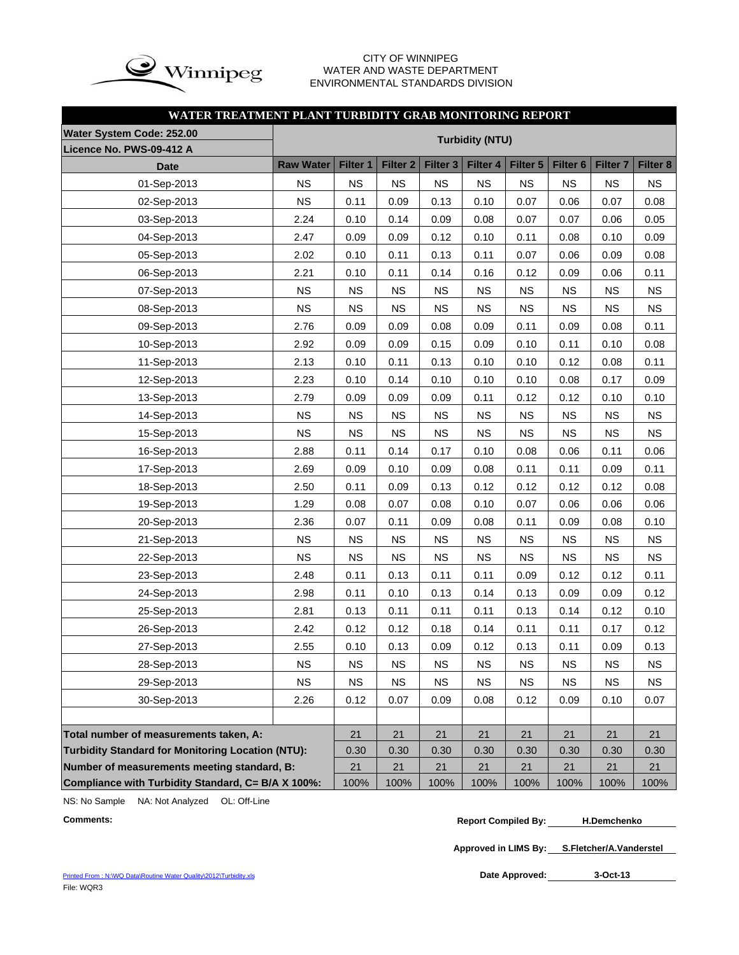

### CITY OF WINNIPEG WATER AND WASTE DEPARTMENT ENVIRONMENTAL STANDARDS DIVISION

### **WATER TREATMENT PLANT TURBIDITY GRAB MONITORING REPORT**

| Water System Code: 252.00                                |                  |           |                     |                     |                        |           |                     |                     |           |
|----------------------------------------------------------|------------------|-----------|---------------------|---------------------|------------------------|-----------|---------------------|---------------------|-----------|
| Licence No. PWS-09-412 A                                 |                  |           |                     |                     | <b>Turbidity (NTU)</b> |           |                     |                     |           |
| <b>Date</b>                                              | <b>Raw Water</b> | Filter 1  | Filter <sub>2</sub> | Filter <sub>3</sub> | Filter 4               | Filter 5  | Filter <sub>6</sub> | Filter <sub>7</sub> | Filter 8  |
| 01-Sep-2013                                              | <b>NS</b>        | <b>NS</b> | <b>NS</b>           | <b>NS</b>           | <b>NS</b>              | <b>NS</b> | <b>NS</b>           | <b>NS</b>           | <b>NS</b> |
| 02-Sep-2013                                              | <b>NS</b>        | 0.11      | 0.09                | 0.13                | 0.10                   | 0.07      | 0.06                | 0.07                | 0.08      |
| 03-Sep-2013                                              | 2.24             | 0.10      | 0.14                | 0.09                | 0.08                   | 0.07      | 0.07                | 0.06                | 0.05      |
| 04-Sep-2013                                              | 2.47             | 0.09      | 0.09                | 0.12                | 0.10                   | 0.11      | 0.08                | 0.10                | 0.09      |
| 05-Sep-2013                                              | 2.02             | 0.10      | 0.11                | 0.13                | 0.11                   | 0.07      | 0.06                | 0.09                | 0.08      |
| 06-Sep-2013                                              | 2.21             | 0.10      | 0.11                | 0.14                | 0.16                   | 0.12      | 0.09                | 0.06                | 0.11      |
| 07-Sep-2013                                              | <b>NS</b>        | <b>NS</b> | <b>NS</b>           | <b>NS</b>           | <b>NS</b>              | <b>NS</b> | <b>NS</b>           | <b>NS</b>           | <b>NS</b> |
| 08-Sep-2013                                              | <b>NS</b>        | <b>NS</b> | <b>NS</b>           | <b>NS</b>           | <b>NS</b>              | <b>NS</b> | <b>NS</b>           | <b>NS</b>           | <b>NS</b> |
| 09-Sep-2013                                              | 2.76             | 0.09      | 0.09                | 0.08                | 0.09                   | 0.11      | 0.09                | 0.08                | 0.11      |
| 10-Sep-2013                                              | 2.92             | 0.09      | 0.09                | 0.15                | 0.09                   | 0.10      | 0.11                | 0.10                | 0.08      |
| 11-Sep-2013                                              | 2.13             | 0.10      | 0.11                | 0.13                | 0.10                   | 0.10      | 0.12                | 0.08                | 0.11      |
| 12-Sep-2013                                              | 2.23             | 0.10      | 0.14                | 0.10                | 0.10                   | 0.10      | 0.08                | 0.17                | 0.09      |
| 13-Sep-2013                                              | 2.79             | 0.09      | 0.09                | 0.09                | 0.11                   | 0.12      | 0.12                | 0.10                | 0.10      |
| 14-Sep-2013                                              | <b>NS</b>        | <b>NS</b> | <b>NS</b>           | <b>NS</b>           | <b>NS</b>              | <b>NS</b> | <b>NS</b>           | <b>NS</b>           | <b>NS</b> |
| 15-Sep-2013                                              | <b>NS</b>        | <b>NS</b> | <b>NS</b>           | <b>NS</b>           | <b>NS</b>              | <b>NS</b> | <b>NS</b>           | <b>NS</b>           | <b>NS</b> |
| 16-Sep-2013                                              | 2.88             | 0.11      | 0.14                | 0.17                | 0.10                   | 0.08      | 0.06                | 0.11                | 0.06      |
| 17-Sep-2013                                              | 2.69             | 0.09      | 0.10                | 0.09                | 0.08                   | 0.11      | 0.11                | 0.09                | 0.11      |
| 18-Sep-2013                                              | 2.50             | 0.11      | 0.09                | 0.13                | 0.12                   | 0.12      | 0.12                | 0.12                | 0.08      |
| 19-Sep-2013                                              | 1.29             | 0.08      | 0.07                | 0.08                | 0.10                   | 0.07      | 0.06                | 0.06                | 0.06      |
| 20-Sep-2013                                              | 2.36             | 0.07      | 0.11                | 0.09                | 0.08                   | 0.11      | 0.09                | 0.08                | 0.10      |
| 21-Sep-2013                                              | <b>NS</b>        | <b>NS</b> | <b>NS</b>           | <b>NS</b>           | <b>NS</b>              | <b>NS</b> | <b>NS</b>           | <b>NS</b>           | <b>NS</b> |
| 22-Sep-2013                                              | <b>NS</b>        | <b>NS</b> | <b>NS</b>           | <b>NS</b>           | <b>NS</b>              | <b>NS</b> | <b>NS</b>           | <b>NS</b>           | <b>NS</b> |
| 23-Sep-2013                                              | 2.48             | 0.11      | 0.13                | 0.11                | 0.11                   | 0.09      | 0.12                | 0.12                | 0.11      |
| 24-Sep-2013                                              | 2.98             | 0.11      | 0.10                | 0.13                | 0.14                   | 0.13      | 0.09                | 0.09                | 0.12      |
| 25-Sep-2013                                              | 2.81             | 0.13      | 0.11                | 0.11                | 0.11                   | 0.13      | 0.14                | 0.12                | 0.10      |
| 26-Sep-2013                                              | 2.42             | 0.12      | 0.12                | 0.18                | 0.14                   | 0.11      | 0.11                | 0.17                | 0.12      |
| 27-Sep-2013                                              | 2.55             | 0.10      | 0.13                | 0.09                | 0.12                   | 0.13      | 0.11                | 0.09                | 0.13      |
| 28-Sep-2013                                              | <b>NS</b>        | <b>NS</b> | NS                  | $_{\rm NS}$         | <b>NS</b>              | NS        | $_{\rm NS}$         | <b>NS</b>           | NS        |
| 29-Sep-2013                                              | <b>NS</b>        | <b>NS</b> | <b>NS</b>           | <b>NS</b>           | <b>NS</b>              | <b>NS</b> | <b>NS</b>           | <b>NS</b>           | <b>NS</b> |
| 30-Sep-2013                                              | 2.26             | 0.12      | 0.07                | 0.09                | 0.08                   | 0.12      | 0.09                | 0.10                | 0.07      |
|                                                          |                  |           |                     |                     |                        |           |                     |                     |           |
| Total number of measurements taken, A:                   |                  | 21        | 21                  | 21                  | 21                     | 21        | 21                  | 21                  | 21        |
| <b>Turbidity Standard for Monitoring Location (NTU):</b> |                  | 0.30      | 0.30                | 0.30                | 0.30                   | 0.30      | 0.30                | 0.30                | 0.30      |
| Number of measurements meeting standard, B:              |                  | 21        | 21                  | 21                  | 21                     | 21        | 21                  | 21                  | 21        |
| Compliance with Turbidity Standard, C= B/A X 100%:       |                  | 100%      | 100%                | 100%                | 100%                   | 100%      | 100%                | 100%                | 100%      |

NS: No Sample NA: Not Analyzed OL: Off-Line

```
Comments: Report Compiled By:
H.Demchenko
```
**Approved in LIMS By: S.Fletcher/A.Vanderstel**

Date Approved: 3-Oct-13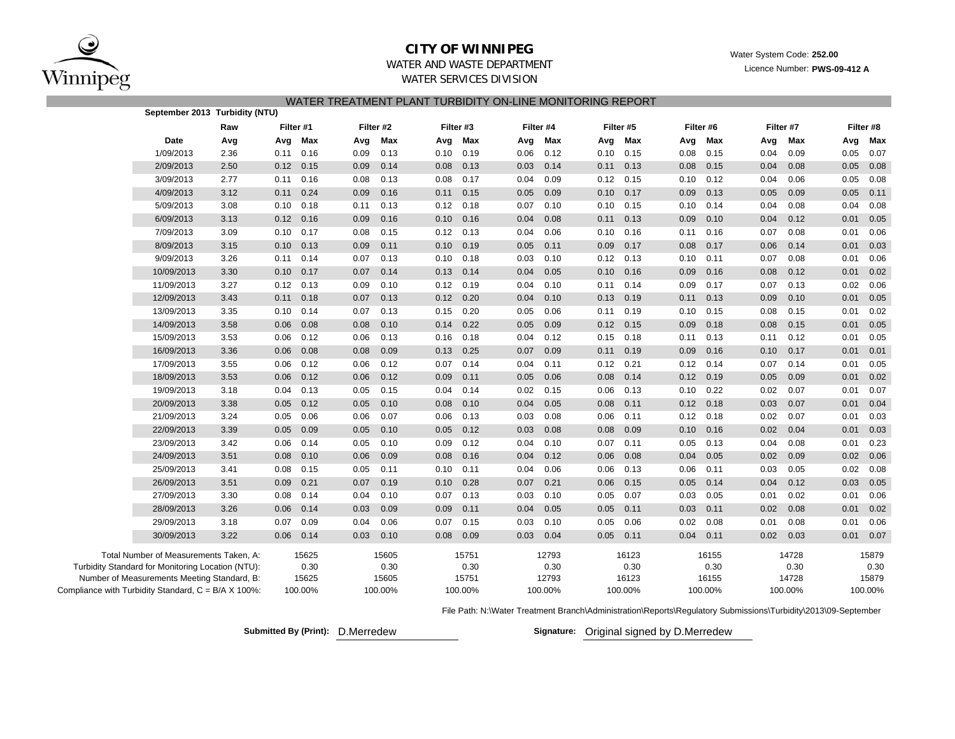

### **CITY OF WINNIPEG**

Water System Code: **252.00**

### WATER AND WASTE DEPARTMENTWATER SERVICES DIVISION

Licence Number: **PWS-09-412 A**

| WATER TREATMENT PLANT TURBIDITY ON-LINE MONITORING REPORT |  |  |
|-----------------------------------------------------------|--|--|
|                                                           |  |  |

|                                                     | September 2013 Turbidity (NTU)              |      |      |             |      |           |      |           |      |           |      |           |      |           |      |           |      |           |
|-----------------------------------------------------|---------------------------------------------|------|------|-------------|------|-----------|------|-----------|------|-----------|------|-----------|------|-----------|------|-----------|------|-----------|
|                                                     |                                             | Raw  |      | Filter #1   |      | Filter #2 |      | Filter #3 |      | Filter #4 |      | Filter #5 |      | Filter #6 |      | Filter #7 |      | Filter #8 |
|                                                     | Date                                        | Avg  | Avg  | Max         | Avg  | Max       | Avg  | Max       | Avg  | Max       | Avg  | Max       | Avg  | Max       | Avg  | Max       | Avg  | Max       |
|                                                     | 1/09/2013                                   | 2.36 |      | $0.11$ 0.16 | 0.09 | 0.13      | 0.10 | 0.19      | 0.06 | 0.12      | 0.10 | 0.15      | 0.08 | 0.15      | 0.04 | 0.09      | 0.05 | 0.07      |
|                                                     | 2/09/2013                                   | 2.50 | 0.12 | 0.15        | 0.09 | 0.14      | 0.08 | 0.13      | 0.03 | 0.14      | 0.11 | 0.13      | 0.08 | 0.15      | 0.04 | 0.08      | 0.05 | 0.08      |
|                                                     | 3/09/2013                                   | 2.77 | 0.11 | 0.16        | 0.08 | 0.13      | 0.08 | 0.17      | 0.04 | 0.09      | 0.12 | 0.15      | 0.10 | 0.12      | 0.04 | 0.06      | 0.05 | 0.08      |
|                                                     | 4/09/2013                                   | 3.12 | 0.11 | 0.24        | 0.09 | 0.16      | 0.11 | 0.15      | 0.05 | 0.09      | 0.10 | 0.17      | 0.09 | 0.13      | 0.05 | 0.09      | 0.05 | 0.11      |
|                                                     | 5/09/2013                                   | 3.08 | 0.10 | 0.18        | 0.11 | 0.13      | 0.12 | 0.18      | 0.07 | 0.10      | 0.10 | 0.15      | 0.10 | 0.14      | 0.04 | 0.08      | 0.04 | 0.08      |
|                                                     | 6/09/2013                                   | 3.13 | 0.12 | 0.16        | 0.09 | 0.16      | 0.10 | 0.16      | 0.04 | 0.08      | 0.11 | 0.13      | 0.09 | 0.10      | 0.04 | 0.12      | 0.01 | 0.05      |
|                                                     | 7/09/2013                                   | 3.09 | 0.10 | 0.17        | 0.08 | 0.15      | 0.12 | 0.13      | 0.04 | 0.06      | 0.10 | 0.16      | 0.11 | 0.16      | 0.07 | 0.08      | 0.01 | 0.06      |
|                                                     | 8/09/2013                                   | 3.15 | 0.10 | 0.13        | 0.09 | 0.11      | 0.10 | 0.19      | 0.05 | 0.11      | 0.09 | 0.17      | 0.08 | 0.17      | 0.06 | 0.14      | 0.01 | 0.03      |
|                                                     | 9/09/2013                                   | 3.26 |      | $0.11$ 0.14 | 0.07 | 0.13      | 0.10 | 0.18      | 0.03 | 0.10      | 0.12 | 0.13      | 0.10 | 0.11      | 0.07 | 0.08      | 0.01 | 0.06      |
|                                                     | 10/09/2013                                  | 3.30 | 0.10 | 0.17        | 0.07 | 0.14      | 0.13 | 0.14      | 0.04 | 0.05      | 0.10 | 0.16      | 0.09 | 0.16      | 0.08 | 0.12      | 0.01 | 0.02      |
|                                                     | 11/09/2013                                  | 3.27 | 0.12 | 0.13        | 0.09 | 0.10      | 0.12 | 0.19      | 0.04 | 0.10      | 0.11 | 0.14      | 0.09 | 0.17      | 0.07 | 0.13      | 0.02 | 0.06      |
|                                                     | 12/09/2013                                  | 3.43 | 0.11 | 0.18        | 0.07 | 0.13      | 0.12 | 0.20      | 0.04 | 0.10      | 0.13 | 0.19      | 0.11 | 0.13      | 0.09 | 0.10      | 0.01 | 0.05      |
|                                                     | 13/09/2013                                  | 3.35 | 0.10 | 0.14        | 0.07 | 0.13      | 0.15 | 0.20      | 0.05 | 0.06      | 0.11 | 0.19      | 0.10 | 0.15      | 0.08 | 0.15      | 0.01 | 0.02      |
|                                                     | 14/09/2013                                  | 3.58 | 0.06 | 0.08        | 0.08 | 0.10      | 0.14 | 0.22      | 0.05 | 0.09      | 0.12 | 0.15      | 0.09 | 0.18      | 0.08 | 0.15      | 0.01 | 0.05      |
|                                                     | 15/09/2013                                  | 3.53 | 0.06 | 0.12        | 0.06 | 0.13      | 0.16 | 0.18      | 0.04 | 0.12      | 0.15 | 0.18      | 0.11 | 0.13      | 0.11 | 0.12      | 0.01 | 0.05      |
|                                                     | 16/09/2013                                  | 3.36 | 0.06 | 0.08        | 0.08 | 0.09      | 0.13 | 0.25      | 0.07 | 0.09      | 0.11 | 0.19      | 0.09 | 0.16      | 0.10 | 0.17      | 0.01 | 0.01      |
|                                                     | 17/09/2013                                  | 3.55 | 0.06 | 0.12        | 0.06 | 0.12      | 0.07 | 0.14      | 0.04 | 0.11      | 0.12 | 0.21      | 0.12 | 0.14      | 0.07 | 0.14      | 0.01 | 0.05      |
|                                                     | 18/09/2013                                  | 3.53 | 0.06 | 0.12        | 0.06 | 0.12      | 0.09 | 0.11      | 0.05 | 0.06      | 0.08 | 0.14      | 0.12 | 0.19      | 0.05 | 0.09      | 0.01 | 0.02      |
|                                                     | 19/09/2013                                  | 3.18 | 0.04 | 0.13        | 0.05 | 0.15      | 0.04 | 0.14      | 0.02 | 0.15      | 0.06 | 0.13      | 0.10 | 0.22      | 0.02 | 0.07      | 0.01 | 0.07      |
|                                                     | 20/09/2013                                  | 3.38 | 0.05 | 0.12        | 0.05 | 0.10      | 0.08 | 0.10      | 0.04 | 0.05      | 0.08 | 0.11      | 0.12 | 0.18      | 0.03 | 0.07      | 0.01 | 0.04      |
|                                                     | 21/09/2013                                  | 3.24 | 0.05 | 0.06        | 0.06 | 0.07      | 0.06 | 0.13      | 0.03 | 0.08      | 0.06 | 0.11      | 0.12 | 0.18      | 0.02 | 0.07      | 0.01 | 0.03      |
|                                                     | 22/09/2013                                  | 3.39 | 0.05 | 0.09        | 0.05 | 0.10      | 0.05 | 0.12      | 0.03 | 0.08      | 0.08 | 0.09      | 0.10 | 0.16      | 0.02 | 0.04      | 0.01 | 0.03      |
|                                                     | 23/09/2013                                  | 3.42 | 0.06 | 0.14        | 0.05 | 0.10      | 0.09 | 0.12      | 0.04 | 0.10      | 0.07 | 0.11      | 0.05 | 0.13      | 0.04 | 0.08      | 0.01 | 0.23      |
|                                                     | 24/09/2013                                  | 3.51 | 0.08 | 0.10        | 0.06 | 0.09      | 0.08 | 0.16      | 0.04 | 0.12      | 0.06 | 0.08      | 0.04 | 0.05      | 0.02 | 0.09      | 0.02 | 0.06      |
|                                                     | 25/09/2013                                  | 3.41 | 0.08 | 0.15        | 0.05 | 0.11      | 0.10 | 0.11      | 0.04 | 0.06      | 0.06 | 0.13      | 0.06 | 0.11      | 0.03 | 0.05      | 0.02 | 0.08      |
|                                                     | 26/09/2013                                  | 3.51 | 0.09 | 0.21        | 0.07 | 0.19      | 0.10 | 0.28      | 0.07 | 0.21      | 0.06 | 0.15      | 0.05 | 0.14      | 0.04 | 0.12      | 0.03 | 0.05      |
|                                                     | 27/09/2013                                  | 3.30 | 0.08 | 0.14        | 0.04 | 0.10      | 0.07 | 0.13      | 0.03 | 0.10      | 0.05 | 0.07      | 0.03 | 0.05      | 0.01 | 0.02      | 0.01 | 0.06      |
|                                                     | 28/09/2013                                  | 3.26 | 0.06 | 0.14        | 0.03 | 0.09      | 0.09 | 0.11      | 0.04 | 0.05      | 0.05 | 0.11      | 0.03 | 0.11      | 0.02 | 0.08      | 0.01 | 0.02      |
|                                                     | 29/09/2013                                  | 3.18 | 0.07 | 0.09        | 0.04 | 0.06      | 0.07 | 0.15      | 0.03 | 0.10      | 0.05 | 0.06      | 0.02 | 0.08      | 0.01 | 0.08      | 0.01 | 0.06      |
|                                                     | 30/09/2013                                  | 3.22 | 0.06 | 0.14        | 0.03 | 0.10      | 0.08 | 0.09      | 0.03 | 0.04      | 0.05 | 0.11      | 0.04 | 0.11      | 0.02 | 0.03      | 0.01 | 0.07      |
|                                                     | Total Number of Measurements Taken, A:      |      |      | 15625       |      | 15605     |      | 15751     |      | 12793     |      | 16123     |      | 16155     |      | 14728     |      | 15879     |
| Turbidity Standard for Monitoring Location (NTU):   |                                             |      |      | 0.30        |      | 0.30      |      | 0.30      |      | 0.30      |      | 0.30      |      | 0.30      |      | 0.30      |      | 0.30      |
|                                                     | Number of Measurements Meeting Standard, B: |      |      | 15625       |      | 15605     |      | 15751     |      | 12793     |      | 16123     |      | 16155     |      | 14728     |      | 15879     |
| Compliance with Turbidity Standard, C = B/A X 100%: |                                             |      |      | 100.00%     |      | 100.00%   |      | 100.00%   |      | 100.00%   |      | 100.00%   |      | 100.00%   |      | 100.00%   |      | 100.00%   |

File Path: N:\Water Treatment Branch\Administration\Reports\Regulatory Submissions\Turbidity\2013\09-September

**Submitted By (Print): D. Merredew** 

Signature: Original signed by D.Merredew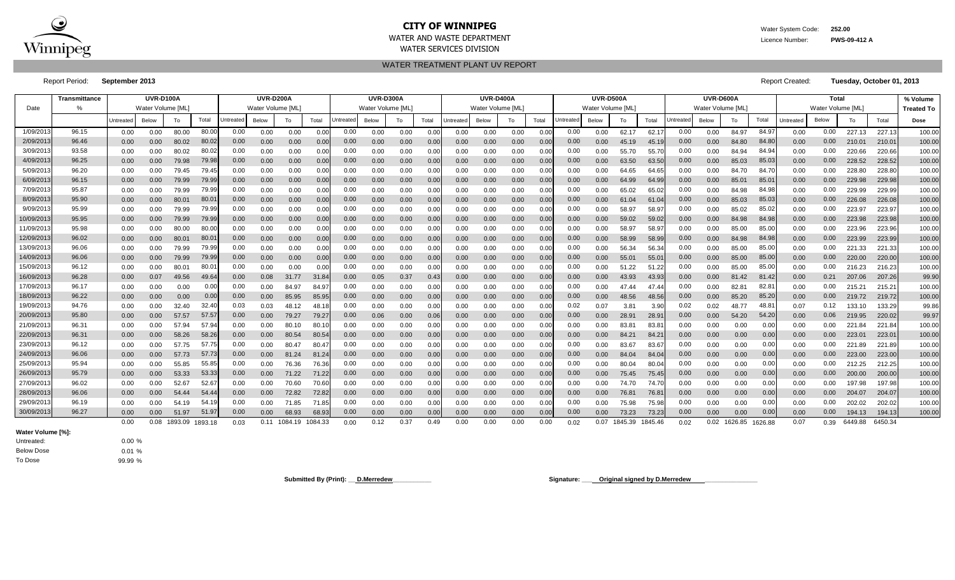

### **CITY OF WINNIPEG** WATER WATER System Code: 252.00 WATER AND WASTE DEPARTMENT **EXECUTES** AND WAS A LICENCE OF A LICENCE OF A LICENCE OF A LICENCE OF A LICENCE OF A LICENCE OF A LICENCE OF A LICENCE OF A LICENCE OF A LICENCE OF A LICENCE OF A LICENCE OF A LICENCE OF A LICEN WATER SERVICES DIVISION

WATER TREATMENT PLANT UV REPORT

Report Period: **September 2013** Report Created: **Tuesday, October 01, 2013**

|           | <b>Transmittance</b> |           | <b>UVR-D100A</b>  |              |                |           | <b>UVR-D200A</b>  |                      |       |           | <b>UVR-D300A</b>  |      |       |                  | <b>UVR-D400A</b> |      |       |           | <b>UVR-D500A</b> |                 |       |                  | UVR-D600A        |                      |       |                  | Total             |         |                 | % Volume          |
|-----------|----------------------|-----------|-------------------|--------------|----------------|-----------|-------------------|----------------------|-------|-----------|-------------------|------|-------|------------------|------------------|------|-------|-----------|------------------|-----------------|-------|------------------|------------------|----------------------|-------|------------------|-------------------|---------|-----------------|-------------------|
| Date      |                      |           | Water Volume [ML] |              |                |           | Water Volume [ML] |                      |       |           | Water Volume [ML] |      |       |                  | Water Volume IML |      |       |           | Water Volume IML |                 |       |                  | Water Volume IML |                      |       |                  | Water Volume [ML] |         |                 | <b>Treated To</b> |
|           |                      | Untreated | Below             | To           | Total          | Jntreated | Below             | То                   | Total | Jntreated | Below             | To   | Total | <b>Jntreated</b> | Below            | To   | Total | Jntreatec | <b>Below</b>     | To              | Total | <b>Jntreated</b> | <b>Below</b>     | To                   | Total | <b>Jntreated</b> | Below             | To      | Total           | Dose              |
| 1/09/201  | 96.15                | 0.00      | 0.00              | 80.00        | 80.00          | 0.00      | 0.00              | 0.00                 | 0.00  | 0.00      | 0.00              | 0.00 | 0.00  | 0.00             | 0.00             | 0.00 | 0.00  | 0.00      | 0.00             | 62.17           | 62.1  | 0.00             | 0.00             | 84.97                | 84.97 | 0.00             | 0.00              | 227.13  | 227.13          | 100.00            |
| 2/09/201  | 96.46                | 0.00      | 0.00              | 80.02        | 80.02          | 0.00      | 0.00              | 0.00                 | 0.00  | 0.00      | 0.00              | 0.00 | 0.00  | 0.00             | 0.00             | 0.00 | 0.00  | 0.00      | 0.00             | 45.19           | 45.1  | 0.00             | 0.00             | 84.80                | 84.80 | 0.00             | 0.00              | 210.01  | 210.0           | 100.00            |
| 3/09/201  | 93.58                | 0.00      | 0.00              | 80.02        | 80.02          | 0.00      | 0.00              | 0.00                 | 0.00  | 0.00      | 0.00              | 0.00 | 0.0   | 0.00             | 0.00             | 0.00 | 0.00  | 0.00      | 0.00             | 55.70           | 55.7  | 0.00             | 0.00             | 84.94                | 84.94 | 0.00             | 0.00              | 220.66  | 220.66          | 100.00            |
| 4/09/201  | 96.25                | 0.00      | 0.00              | 79.98        | 79.98          | 0.00      | 0.00              | 0.00                 | 0.00  | 0.00      | 0.00              | 0.00 | 0.00  | 0.00             | 0.00             | 0.00 | 0.00  | 0.00      | 0.00             | 63.50           | 63.50 | 0.00             | 0.00             | 85.03                | 85.03 | 0.00             | 0.00              | 228.52  | 228.52          | 100.00            |
| 5/09/201  | 96.20                | 0.00      | 0.00              | 79.45        | 79.45          | 0.00      | 0.00              | 0.00                 | 0.00  | 0.00      | 0.00              | 0.00 | 0.0   | 0.00             | 0.00             | 0.00 | 0.00  | 0.00      | 0.00             | 64.65           | 64.6  | 0.00             | 0.00             | 84.70                | 84.70 | 0.00             | 0.00              | 228.80  | 228.80          | 100.00            |
| 6/09/201  | 96.15                | 0.00      | 0.00              | 79.99        | 79.99          | 0.00      | 0.00              | 0.00                 | 0.00  | 0.00      | 0.00              | 0.00 | 0.0   | 0.00             | 0.00             | 0.00 | 0.00  | 0.00      | 0.00             | 64.99           | 64.9  | 0.00             | 0.00             | 85.01                | 85.0  | 0.00             | 0.00              | 229.98  | 229.98          | 100.00            |
| 7/09/201  | 95.87                | 0.00      | 0.00              | 79.99        | 79.99          | 0.00      | 0.00              | 0.00                 | 0.00  | 0.00      | 0.00              | 0.00 | 0.0   | 0.00             | 0.00             | 0.00 | 0.00  | 0.00      | 0.00             | 65.02           | 65.0  | 0.00             | 0.00             | 84.98                | 84.98 | 0.00             | 0.00              | 229.99  | 229.99          | 100.00            |
| 8/09/201  | 95.90                | 0.00      | 0.00              | 80.01        | 80.0           | 0.00      | 0.00              | 0.00                 | 0.00  | 0.00      | 0.00              | 0.00 | 0.00  | 0.00             | 0.00             | 0.00 | 0.00  | 0.00      | 0.00             | 61.04           | 61.0  | 0.00             | 0.00             | 85.03                | 85.03 | 0.00             | 0.00              | 226.08  | 226.08          | 100.00            |
| 9/09/201  | 95.99                | 0.00      | 0.00              | 79.99        | 79.99          | 0.00      | 0.00              | 0.00                 | 0.00  | 0.00      | 0.00              | 0.00 | 0.0   | 0.00             | 0.00             | 0.00 | 0.00  | 0.00      | 0.00             | 58.97           | 58.97 | 0.00             | 0.00             | 85.02                | 85.02 | 0.00             | 0.00              | 223.97  | 223.97          | 100.00            |
| 10/09/201 | 95.95                | 0.00      | 0.00              | 79.99        | 79.99          | 0.00      | 0.00              | 0.00                 | 0.00  | 0.00      | 0.00              | 0.00 | 0.00  | 0.00             | 0.00             | 0.00 | 0.00  | 0.00      | 0.00             | 59.02           | 59.02 | 0.00             | 0.00             | 84.98                | 84.98 | 0.00             | 0.00              | 223.98  | 223.98          | 100.00            |
| 11/09/201 | 95.98                | 0.00      | 0.00              | 80.00        | 80.00          | 0.00      | 0.00              | 0.00                 | 0.00  | 0.00      | 0.00              | 0.00 | 0.0   | 0.00             | 0.00             | 0.00 | 0.00  | 0.00      | 0.00             | 58.97           | 58.97 | 0.00             | 0.00             | 85.00                | 85.00 | 0.00             | 0.00              | 223.96  | 223.96          | 100.00            |
| 12/09/201 | 96.02                | 0.00      | 0.00              | 80.01        | 80.0           | 0.00      | 0.00              | 0.00                 | 0.00  | 0.00      | 0.00              | 0.00 | 0.00  | 0.00             | 0.00             | 0.00 | 0.00  | 0.00      | 0.00             | 58.99           | 58.9  | 0.00             | 0.00             | 84.98                | 84.98 | 0.00             | 0.00              | 223.99  | 223.99          | 100.00            |
| 13/09/201 | 96.06                | 0.00      | 0.00              | 79.99        | 79.99          | 0.00      | 0.00              | 0.00                 | 0.00  | 0.00      | 0.00              | 0.00 | 0.0   | 0.00             | 0.00             | 0.00 | 0.00  | 0.00      | 0.00             | 56.34           | 56.34 | 0.00             | 0.00             | 85.00                | 85.00 | 0.00             | 0.00              | 221.33  | 221.33          | 100.00            |
| 14/09/201 | 96.06                | 0.00      | 0.00              | 79.99        | 79.99          | 0.00      | 0.00              | 0.00                 | 0.00  | 0.00      | 0.00              | 0.00 | 0.0   | 0.00             | 0.00             | 0.00 | 0.00  | 0.00      | 0.00             | 55.01           | 55.0  | 0.00             | 0.00             | 85.00                | 85.00 | 0.00             | 0.00              | 220.00  | 220.00          | 100.00            |
| 15/09/201 | 96.12                | 0.00      | 0.00              | 80.01        | $80.0^{\circ}$ | 0.00      | 0.00              | 0.00                 | 0.00  | 0.00      | 0.00              | 0.00 | 0.0   | 0.00             | 0.00             | 0.00 | 0.00  | 0.00      | 0.00             | 51.22           | 51.22 | 0.00             | 0.00             | 85.00                | 85.00 | 0.00             | 0.00              | 216.23  | 216.23          | 100.00            |
| 16/09/201 | 96.28                | 0.00      | 0.07              | 49.56        | 49.64          | 0.00      | 0.08              | 31.77                | 31.84 | 0.00      | 0.05              | 0.37 | 0.43  | 0.00             | 0.00             | 0.00 | 0.00  | 0.00      | 0.00             | 43.93           | 43.93 | 0.00             | 0.00             | 81.42                | 81.4  | 0.00             | 0.21              | 207.06  | 207.26          | 99.90             |
| 17/09/201 | 96.17                | 0.00      | 0.00              | 0.00         | 0.00           | 0.00      | 0.00              | 84.97                | 84.97 | 0.00      | 0.00              | 0.00 | 0.0   | 0.00             | 0.00             | 0.00 | 0.00  | 0.00      | 0.00             | 47.44           | 47.44 | 0.00             | 0.00             | $82.8^{\circ}$       | 82.8' | 0.00             | 0.00              | 215.21  | $215.2^{\circ}$ | 100.00            |
| 18/09/201 | 96.22                | 0.00      | 0.00              | 0.00         | 0.00           | 0.00      | 0.00              | 85.95                | 85.95 | 0.00      | 0.00              | 0.00 | 0.00  | 0.00             | 0.00             | 0.00 | 0.00  | 0.00      | 0.00             | 48.56           | 48.56 | 0.00             | 0.00             | 85.20                | 85.20 | 0.00             | 0.00              | 219.72  | 219.72          | 100.00            |
| 19/09/201 | 94.76                | 0.00      | 0.00              | 32.40        | 32.40          | 0.03      | 0.03              | 48.12                | 48.1  | 0.00      | 0.00              | 0.00 | 0.0   | 0.00             | 0.00             | 0.00 | 0.00  | 0.02      | 0.07             | 3.81            | 3.90  | 0.02             | 0.02             | 48.77                | 48.8  | 0.07             | 0.12              | 133.10  | 133.29          | 99.86             |
| 20/09/201 | 95.80                | 0.00      | 0.00              | 57.57        | 57.5           | 0.00      | 0.00              | 79.27                | 79.27 | 0.00      | 0.06              | 0.00 | 0.06  | 0.00             | 0.00             | 0.00 | 0.00  | 0.00      | 0.00             | 28.91           | 28.9  | 0.00             | 0.00             | 54.20                | 54.20 | 0.00             | 0.06              | 219.95  | 220.02          | 99.97             |
| 21/09/201 | 96.31                | 0.00      | 0.00              | 57.94        | 57.94          | 0.00      | 0.00              | 80.10                | 80.1  | 0.00      | 0.00              | 0.00 | 0.0   | 0.00             | 0.00             | 0.00 | 0.00  | 0.00      | 0.00             | 83.8            | 83.8  | 0.00             | 0.00             | 0.00                 | 0.00  | 0.00             | 0.00              | 221.84  | 221.84          | 100.00            |
| 22/09/201 | 96.31                | 0.00      | 0.00              | 58.26        | 58.26          | 0.00      | 0.00              | 80.54                | 80.54 | 0.00      | 0.00              | 0.00 | 0.00  | 0.00             | 0.00             | 0.00 | 0.00  | 0.00      | 0.00             | 84.21           | 84.2  | 0.00             | 0.00             | 0.00                 | 0.00  | 0.00             | 0.00              | 223.01  | 223.01          | 100.00            |
| 23/09/201 | 96.12                | 0.00      | 0.00              | 57.75        | 57.7           | 0.00      | 0.00              | 80.47                | 80.47 | 0.00      | 0.00              | 0.00 | 0.0   | 0.00             | 0.00             | 0.00 | 0.00  | 0.00      | 0.00             | 83.6            | 83.6  | 0.00             | 0.00             | 0.00                 | 0.00  | 0.00             | 0.00              | 221.89  | 221.89          | 100.00            |
| 24/09/201 | 96.06                | 0.00      | 0.00              | 57.73        | 57.73          | 0.00      | 0.00              | 81.24                | 81.24 | 0.00      | 0.00              | 0.00 | 0.00  | 0.00             | 0.00             | 0.00 | 0.00  | 0.00      | 0.00             | 84.04           | 84.0  | 0.00             | 0.00             | 0.00                 | 0.00  | 0.00             | 0.00              | 223.00  | 223.00          | 100.00            |
| 25/09/201 | 95.94                | 0.00      | 0.00              | 55.85        | 55.85          | 0.00      | 0.00              | 76.36                | 76.36 | 0.00      | 0.00              | 0.00 | 0.0   | 0.00             | 0.00             | 0.00 | 0.00  | 0.00      | 0.00             | 80.04           | 80.04 | 0.00             | 0.00             | 0.00                 | 0.00  | 0.00             | 0.00              | 212.25  | 212.25          | 100.00            |
| 26/09/201 | 95.79                | 0.00      | 0.00              | 53.33        | 53.33          | 0.00      | 0.00              | 71.22                | 71.22 | 0.00      | 0.00              | 0.00 | 0.00  | 0.00             | 0.00             | 0.00 | 0.00  | 0.00      | 0.00             | 75.45           | 75.45 | 0.00             | 0.00             | 0.00                 | 0.00  | 0.00             | 0.00              | 200.00  | 200.00          | 100.00            |
| 27/09/201 | 96.02                | 0.00      | 0.00              | 52.67        | 52.67          | 0.00      | 0.00              | 70.60                | 70.60 | 0.00      | 0.00              | 0.00 | 0.0   | 0.00             | 0.00             | 0.00 | 0.00  | 0.00      | 0.00             | 74.70           | 74.70 | 0.00             | 0.00             | 0.00                 | 0.00  | 0.00             | 0.00              | 197.98  | 197.98          | 100.00            |
| 28/09/201 | 96.06                | 0.00      | 0.00              | 54.44        | 54.4           | 0.00      | 0.00              | 72.82                | 72.82 | 0.00      | 0.00              | 0.00 | 0.00  | 0.00             | 0.00             | 0.00 | 0.00  | 0.00      | 0.00             | 76.81           | 76.8  | 0.00             | 0.00             | 0.00                 | 0.00  | 0.00             | 0.00              | 204.07  | 204.07          | 100.00            |
| 29/09/201 | 96.19                | 0.00      | 0.00              | 54.19        | 54.1           | 0.00      | 0.00              | 71.85                | 71.85 | 0.00      | 0.00              | 0.00 | 0.0   | 0.00             | 0.00             | 0.00 | 0.00  | 0.00      | 0.00             | 75.98           | 75.98 | 0.00             | 0.00             | 0.00                 | 0.00  | 0.00             | 0.00              | 202.02  | 202.02          | 100.00            |
| 30/09/201 | 96.27                | 0.00      | 0.00 <sub>1</sub> | 51.97        | 51.9           | 0.00      | 0.00              | 68.93                | 68.9  | 0.00      | 0.00              | 0.00 | 0.0   | 0.00             | 0.00             | 0.00 | 0.00  | 0.00      | 0.00             | 73.23           | 73.23 | 0.00             | 0.00             | 0.00                 | 0.00  | 0.00             | 0.00 <sub>1</sub> | 194.13  | 194.13          | 100.00            |
|           |                      | 0.00      |                   | 0.08 1893.09 | 1893.18        | 0.03      |                   | 0.11 1084.19 1084.33 |       | 0.00      | 0.12              | 0.37 | 0.49  | 0.00             | 0.00             | 0.00 | 0.00  | 0.02      | 0.07             | 1845.39 1845.46 |       | 0.02             |                  | 0.02 1626.85 1626.88 |       | 0.07             | 0.39              | 6449.88 | 6450.34         |                   |

Untreated: **Water Volume [%]:**

0.00 % 0.01 % 99.99 % To Dose Below Dose

**Submitted By (Print): \_\_ D.Merredew\_\_\_\_\_\_\_\_\_\_\_ Signature: \_\_\_ Original signed by D.Merredew \_\_\_\_\_\_\_\_\_\_\_\_\_\_\_**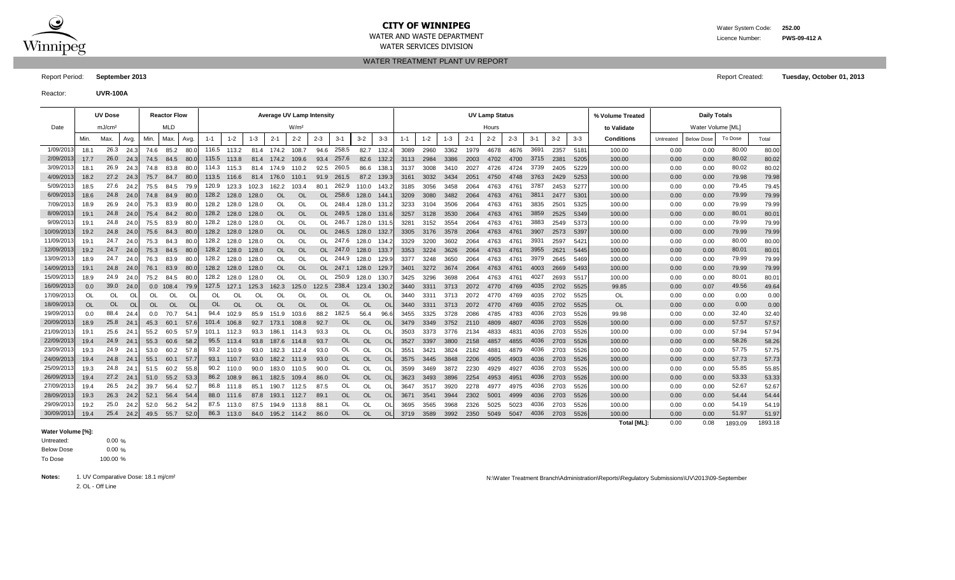

# **CITY OF WINNIPEG** WATER WATER WATER System Code: 252.00

WATER SERVICES DIVISION

WATER TREATMENT PLANT UV REPORT

Report Period: **September 2013** Report Created: **Tuesday, October 01, 2013**

Reactor: **UVR-100A**

|            |           | <b>UV Dose</b>     |                |                  | <b>Reactor Flow</b> |           |         |           |         | Average UV Lamp Intensitv |                  |         |               |           |                |         |         |         |         | <b>UV Lamp Status</b> |         |         |         |         | % Volume Treated |           | <b>Daily Totals</b> |         |         |
|------------|-----------|--------------------|----------------|------------------|---------------------|-----------|---------|-----------|---------|---------------------------|------------------|---------|---------------|-----------|----------------|---------|---------|---------|---------|-----------------------|---------|---------|---------|---------|------------------|-----------|---------------------|---------|---------|
| Date       |           | mJ/cm <sup>2</sup> |                |                  | <b>MLD</b>          |           |         |           |         |                           | W/m <sup>2</sup> |         |               |           |                |         |         |         |         | Hours                 |         |         |         |         | to Validate      |           | Water Volume [ML]   |         |         |
|            | Min.      | Max.               | Avg.           | Min.             | Max.                | Avg.      | $1 - 1$ | $1 - 2$   | $1 - 3$ | $2 - 1$                   | $2 - 2$          | $2 - 3$ | $3-1$         | $3 - 2$   | $3-3$          | $1 - 1$ | $1 - 2$ | $1 - 3$ | $2 - 1$ | $2 - 2$               | $2 - 3$ | $3 - 1$ | $3 - 2$ | $3 - 3$ | Conditions       | Untreated | <b>Below Dose</b>   | To Dose | Total   |
| 1/09/201   | 18.1      | 26.3               | 24.3           | 74.6             | 85.2                | 80.0      | 116.5   | 113.2     | 81.4    | 174.2                     | 108.7            | 94.6    | 258.5         | 82.7      | 132.           | 3089    | 2960    | 3362    | 1979    | 4678                  | 4676    | 3691    | 2357    | 5181    | 100.00           | 0.00      | 0.00                | 80.00   | 80.00   |
| 2/09/201   | 17.7      | 26.0               | 24.3           | 74.5             | 84.5                | 80.C      | 115.5   | 113.8     | 81.4    | 174.2                     | 109.6            | 93.4    | 257.6         | 82.6      | 132.           | 3113    | 2984    | 3386    | 2003    | 4702                  | 4700    | 3715    | 2381    | 5205    | 100.00           | 0.00      | 0.00                | 80.02   | 80.02   |
| 3/09/201   | 18.1      | 26.9               | 24.3           | 74.8             | 83.8                | 80.0      | 114.3   | 115.3     | 81.4    | 174.9                     | 110.2            | 92.5    | 260.5         | 86.6      | 138            | 3137    | 3008    | 3410    | 2027    | 4726                  | 4724    | 3739    | 2405    | 5229    | 100.00           | 0.00      | 0.00                | 80.02   | 80.02   |
| 4/09/201   | 18.2      | 27.2               | 24.3           | 75.7             | 84.7                | 80.0      | 113.5   | 116.6     | 81.4    | 176.0                     | 110.1            | 91.9    | 261.5         | 87.2      | 139.           | 3161    | 3032    | 3434    | 2051    | 4750                  | 4748    | 3763    | 2429    | 5253    | 100.00           | 0.00      | 0.00                | 79.98   | 79.98   |
| 5/09/201   | 18.5      | 27.6               | 24.2           | 75.5             | 84.5                | 79.9      | 120.9   | 123.3     | 102.3   | 162.2                     | 103.4            | 80.1    | 262.9         | 110.0     | 143.           | 3185    | 3056    | 3458    | 2064    | 4763                  | 4761    | 3787    | 2453    | 5277    | 100.00           | 0.00      | 0.00                | 79.45   | 79.45   |
| 6/09/201   | 18.6      | 24.8               | 24.1           | 74.8             | 84.9                | 80.0      | 128.2   | 128.0     | 128.0   | <b>OL</b>                 | OL               | OL.     | 258.6         | 128.0     | -144           | 3209    | 3080    | 3482    | 2064    | 4763                  | 4761    | 3811    | 2477    | 5301    | 100.00           | 0.00      | 0.00                | 79.99   | 79.99   |
| 7/09/201   | 18.9      | 26.9               | 24.1           | 75.3             | 83.9                | 80.0      | 128.2   | 128.0     | 128.0   | OL                        | OL               | OL      | 248.4         | 128.0     | 131.           | 3233    | 3104    | 3506    | 2064    | 4763                  | 4761    | 3835    | 2501    | 5325    | 100.00           | 0.00      | 0.00                | 79.99   | 79.99   |
| 8/09/201   | 19.1      | 24.8               | 24.1           | 75.4             | 84.2                | 80.0      | 128.2   | 128.0     | 128.0   | <b>OL</b>                 | OL               | OL      | 249.5         | 128.0     | 131.           | 3257    | 3128    | 3530    |         | 4763                  | 4761    | 3859    | 2525    | 5349    | 100.00           | 0.00      | 0.00                | 80.01   | 80.01   |
| 9/09/201   | 19.1      | 24.8               | 24.1           | 75.5             | 83.9                | 80.0      | 128.2   | 128.0     | 128.0   | <b>OL</b>                 | OL               | OL      | 246.7         | 128.0     | 131.           | 328'    | 3152    | 3554    | 2064    | 4763                  | 4761    | 3883    | 2549    | 5373    | 100.00           | 0.00      | 0.00                | 79.99   | 79.99   |
| 10/09/2013 | 19.2      | 24.8               | 24.0           | 75.6             | 84.3                | 80.C      | 128.2   | 128.0     | 128.0   | OL                        | <b>OL</b>        | OL      | 246.5         | 128.0     | 132.           | 3305    | 3176    | 3578    | 2064    | 4763                  | 4761    | 3907    | 2573    | 5397    | 100.00           | 0.00      | 0.00                | 79.99   | 79.99   |
| 11/09/201  | 19.1      | 24.7               | 24.1           | 75.3             | 84.3                | 80.0      | 128.2   | 128.0     | 128.0   | <b>OL</b>                 | OL               | OL      | 247.6         | 128.0     | -134.          | 3329    | 3200    | 3602    | 2064    | 4763                  | 4761    | 3931    | 2597    | 542     | 100.00           | 0.00      | 0.00                | 80.00   | 80.00   |
| 12/09/201  | 19.2      | 24.7               | 24.1           | 75.3             | 84.5                | 80.0      | 128.2   | 128.0     | 128.0   | <b>OL</b>                 | OL               | OL      | 247.0         | 128.0     | - 133.         | 3353    | 3224    | 3626    | 2064    | 4763                  | 4761    | 3955    | 2621    | 5445    | 100.00           | 0.00      | 0.00                | 80.01   | 80.01   |
| 13/09/201  | 18.9      | 24.7               | 24.1           | 76.3             | 83.9                | 80.0      | 128.2   | 128.0     | 128.0   | OL                        | OL               | OL      | 244.9         | 128.0     | 129.           | 3377    | 3248    | 3650    | 2064    | 4763                  | 4761    | 3979    | 2645    | 5469    | 100.00           | 0.00      | 0.00                | 79.99   | 79.99   |
| 14/09/201  | 19.1      | 24.8               | 24.1           | 76.1             | 83.9                | 80.0      | 128.2   | 128.0     | 128.0   | <b>OL</b>                 | OL               | OL      | 247.1         | 128.0     | 129.           | 3401    | 3272    | 3674    | 2064    | 4763                  | 4761    | 4003    | 2669    | 5493    | 100.00           | 0.00      | 0.00                | 79.99   | 79.99   |
| 15/09/201  | 18.9      | 24.9               | 24.1           | 75.2             | 84.5                | 80.0      | 128.2   | 128.0     | 128.0   | OL                        | Ol               | OL      | 250.9         | 128.0     | 130.           | 3425    | 3296    | 3698    | 2064    | 4763                  | 4761    | 4027    | 2693    | 5517    | 100.00           | 0.00      | 0.00                | 80.01   | 80.01   |
| 16/09/201  | 0.0       | 39.0               | 24.1           | 0.0 <sub>1</sub> | 108.4               | 79.9      | 127.5   | 127.1     | 125.3   | 162.3                     | 125.0            | 122.5   | 238.4         | 123.4     | 130.           | 3440    | 3311    | 3713    | 2072    | 4770                  | 4769    | 4035    | 2702    | 5525    | 99.85            | 0.00      | 0.07                | 49.56   | 49.64   |
| 17/09/201  | OL        | OL                 | O              | OL               | OL                  | <b>OL</b> | OL      | OL        | Ol      | <sup>OL</sup>             | OL               | Οl      | <b>OL</b>     | OL        | O              | 3440    | 3311    | 3713    |         |                       | 4769    | 4035    | 2702    | 5525    | OL               | 0.00      | 0.00                | 0.00    | 0.00    |
| 18/09/2013 | <b>OL</b> | <b>OL</b>          | $\overline{O}$ | <b>OL</b>        | <b>OL</b>           | OL        | OL      | <b>OL</b> | OL      | OL                        | OL               | OL      | <b>OL</b>     | <b>OL</b> | $\Omega$       | 3440    | 3311    | 3713    | 2072    | 4770                  | 4769    | 4035    | 2702    | 5525    | <b>OL</b>        | 0.00      | 0.00                | 0.00    | 0.00    |
| 19/09/2013 | 0.0       | 88.4               | 24.4           | 0.0              | 70.7                | 54.       | 94.4    | 102.9     | 85.9    | 151.9                     | 103.6            | 88.2    | 182.5         | 56.4      | 96.6           | 3455    | 3325    | 3728    | 2086    | 4785                  | 4783    | 4036    | 2703    | 5526    | 99.98            | 0.00      | 0.00                | 32.40   | 32.40   |
| 20/09/2013 | 18.9      | 25.8               | 24.            | 45.3             | 60.1                | 57.6      | 101.4   | 106.8     | 92.7    | 173.1                     | 108.8            | 92.7    | <b>OL</b>     | <b>OL</b> | Ol             | 3479    | 3349    | 3752    | 2110    | 4809                  | 4807    | 4036    | 2703    | 5526    | 100.00           | 0.00      | 0.00                | 57.57   | 57.57   |
| 21/09/201  | 19.1      | 25.6               | 24.            | 55.2             | 60.5                | 57.9      | 101.1   | 112.3     | 93.3    | 186.1                     | 114.3            | 93.3    | <b>OL</b>     | Ol        | Ol             | 3503    | 3373    | 3776    | 2134    | 4833                  | 4831    | 4036    | 2703    | 5526    | 100.00           | 0.00      | 0.00                | 57.94   | 57.94   |
| 22/09/201  | 19.4      | 24.9               | 24.            | 55.3             | 60.6                | 58.2      | 95.5    | 113.4     | 93.8    | 187.6                     | 114.8            | 93.7    | OL            | <b>OL</b> | Ol             | 3527    | 3397    | 3800    | 2158    | 4857                  | 4855    | 4036    | 2703    | 5526    | 100.00           | 0.00      | 0.00                | 58.26   | 58.26   |
| 23/09/201  | 19.3      | 24.9               | 24.            | 53.0             | 60.2                | 57.8      | 93.2    | 110.9     | 93.0    | 182.3                     | 112.4            | 93.0    | OL            | OL        | O              | 3551    | 3421    | 3824    | 2182    | 4881                  | 4879    | 4036    | 2703    | 5526    | 100.00           | 0.00      | 0.00                | 57.75   | 57.75   |
| 24/09/201  | 19.4      | 24.8               | 24.7           | 55.1             | 60.1                | 57.       | 93.1    | 110.7     | 93.0    | 182.2 111.9               |                  | 93.0    | <b>OL</b>     | <b>OL</b> | O <sub>L</sub> | 3575    | 3445    | 3848    | 2206    | 4905                  | 4903    | 4036    | 2703    | 5526    | 100.00           | 0.00      | 0.00                | 57.73   | 57.73   |
| 25/09/201  | 19.3      | 24.8               | 24.            | 51.5             | 60.2                | 55.8      | 90.2    | 110.0     | 90.0    | 183.0                     | 110.5            | 90.0    | <sup>OL</sup> | OL        | O              | 3599    | 3469    | 3872    | 2230    | 4929                  | 4927    | 4036    | 2703    | 5526    | 100.00           | 0.00      | 0.00                | 55.85   | 55.85   |
| 26/09/201  | 19.4      | 27.2               | 24.            | 51.0             | 55.2                | 53.3      | 86.2    | 108.9     | 86.1    | 182.5                     | 109.4            | 86.0    | <b>OL</b>     | <b>OL</b> | $\Omega$       | 3623    | 3493    | 3896    | 2254    | 4953                  | 4951    | 4036    | 2703    | 5526    | 100.00           | 0.00      | 0.00                | 53.33   | 53.33   |
| 27/09/201  | 19.4      | 26.5               | 24.2           | 39.7             | 56.4                | 52.7      | 86.8    | 111.8     | 85.1    | 190.7                     | 112.5            | 87.5    | OL            | OL        | Ol             | 3647    | 3517    | 3920    | 2278    |                       | 4975    | 4036    | 2703    | 5526    | 100.00           | 0.00      | 0.00                | 52.67   | 52.67   |
| 28/09/2013 | 19.3      | 26.3               | 24.2           | 52.1             | 56.4                | 54.4      | 88.0    | 111.6     | 87.8    | 193.1                     | 112.7            | 89.1    | <b>OL</b>     | <b>OL</b> | Ol             | 3671    | 3541    | 3944    | 2302    | 5001                  | 4999    | 4036    | 2703    | 5526    | 100.00           | 0.00      | 0.00                | 54.44   | 54.44   |
| 29/09/201  | 19.2      | 25.0               | 24.2           | 52.0             | 56.2                | 54.2      | 87.5    | 113.0     | 87.5    | 194.9                     | 113.8            | 88.7    | OL            | OL        | Οl             | 3695    | 3565    | 3968    | 2326    | 5025                  | 5023    | 4036    | 2703    | 5526    | 100.00           | 0.00      | 0.00                | 54.19   | 54.19   |
| 30/09/201  | 19.4      | 25.4               | 24.2           | 49.5             | 55.7                | 52.0      | 86.3    | 113.0     | 84.0    | 195.2                     | 114.2            | 86.0    | <b>OL</b>     | <b>OL</b> | Ol             | 3719    | 3589    | 3992    | 2350    | 5049                  | 5047    | 4036    | 2703    | 5526    | 100.00           | 0.00      | 0.00                | 51.97   | 51.97   |
|            |           |                    |                |                  |                     |           |         |           |         |                           |                  |         |               |           |                |         |         |         |         |                       |         |         |         |         | Total IML1:      | 0.00      | 0.08                | 1893.09 | 1893.18 |

#### **Water Volume [%]:**

 $0.00 \%$  $0.00 \%$ 100.00 % To Dose Below Dose Untreated:

2. OL - Off Line

N:\Water Treatment Branch\Administration\Reports\Regulatory Submissions\UV\2013\09-September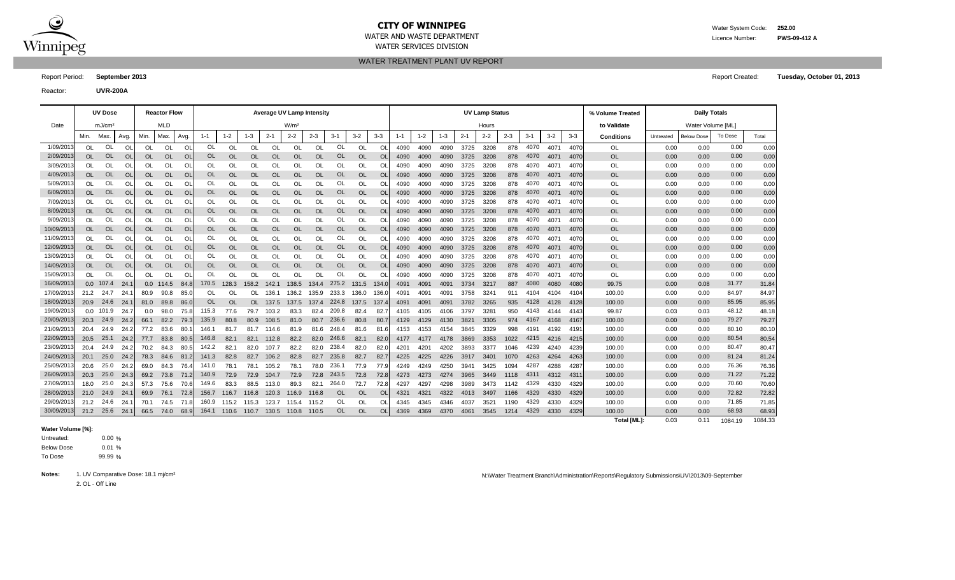

### **CITY OF WINNIPEG** Water System Code: **252.00**

WATER AND WASTE DEPARTMENT WATER SERVICES DIVISION

WATER TREATMENT PLANT UV REPORT

Report Period: **September 2013** Report Created: **Tuesday, October 01, 2013**

Reactor: **UVR-200A**

**% Volume Treated to Validate** Min. Max. | Avg. | Min. | Max. | Avg. | 1-1 | 1-2 | 1-3 | 2-1 | 2-2 | 2-3 | 3-1 | 3-2 | 3-3 | 3-3 | 3-3 | 3-3 | 3-3 | Conditions | Untreated | Below Dose | Total OL OL OL| OL OL| OL OL OL OL OL OL OL OL OL OL| 4090 4090 4090 3725 3208 878 4070 4071 4070| OL | 0.00 0.00 0.00 0.00 0.00 OL OL OL OL OL OL OL OL OL OL OL OL 4090 4090 4090 3725 3208 878 4071 4070 OL 0.00 0.00 0.00 OL OL OL| OL OL| OL OL OL OL OL OL OL OL OL OL| 4090 4090 4090 3725 3208 878 4070 4071 4070| OL | 0.00 0.00 0.00 0.00 0.00 OL OL OL OL OL OL OL OL OL OL OL OL 4090 4090 4090 3725 3208 878 4071 4070 OL 0.00 0.00 0.00 OL OL OL| OL OL| OL OL OL OL OL OL OL OL OL OL| 4090 4090 4090 3725 3208 878 4070 4071 4070| OL | 0.00 0.00 0.00 0.00 0.00 OL OL OL OL OL OL OL OL OL OL OL OL 4090 4090 4090 3725 3208 878 4071 4070 OL 0.00 0.00 0.00 OL OL OL| OL OL| OL OL OL OL OL OL OL OL OL OL| 4090 4090 4090 3725 3208 878 4070 4071 4070| OL | 0.00 0.00 0.00 0.00 0.00 OL OL OL| OL OL| OL OL OL OL OL OL OL OL OL OL| 4090 4090 4090 3725 3208 878 4070 4071 4070| OL | 0.00 0.00 0.00 0.00 0.00 OL OL OL| OL OL| OL OL OL OL OL OL OL OL OL OL| 4090 4090 4090 3725 3208 878 4070 4071 4070| OL | 0.00 0.00 0.00 0.00 0.00 OL OL OL OL OL OL OL OL OL OL OL OL 4090 4090 4090 3725 3208 878 4071 4070 OL 0.00 0.00 0.00 OL OL OL| OL OL| OL OL OL OL OL OL OL OL OL OL| 4090 4090 4090 3725 3208 878 4070 4071 4070| OL | 0.00 0.00 0.00 0.00 0.00 OL OL OL OL OL OL OL OL OL OL OL OL 4090 4090 4090 3725 3208 878 4071 4070 OL 0.00 0.00 0.00 OL OL OL| OL OL| OL OL OL OL OL OL OL OL OL OL| 4090 4090 4090 3725 3208 878 4070 4071 4070| OL | 0.00 0.00 0.00 0.00 0.00 OL OL OL OL OL OL OL OL OL OL OL OL 4090 4090 4090 3725 3208 878 4071 4070 OL 0.00 0.00 0.00 OL OL OL| OL OL| OL OL OL OL OL OL OL OL OL OL| 4090 4090 4090 3725 3208 878 4070 4071 4070| OL | 0.00 0.00 0.00 0.00 0.00 0.0 107.4 24.1| 0.0 114.5 84.8| 170.5 128.3 158.2 142.1 138.5 134.4 275.2 131.5 134.0| 4091 4091 3734 3217 887 4080 4080 4080| 99.75 | 0.00 0.08 31.77 31.84 21.2 24.7 24.1| 80.9 90.8 85.0| OL OL OL 136.1 136.2 135.9 233.3 136.0 136.0| 4091 4091 4091 3758 3241 911 4104 4104 4104| 100.00 | 0.00 0.00 84.97 84.97 84.97 20.9 24.6 24.1| 81.0 89.8 86.0| OL OL OL 137.5 137.4 224.8 137.5 137.4| 4091 4091 4091 3782 3265 935 4128 4128 4128| 100.00 | 0.00 0.00 85.95 85.95 0.0 101.9 24.7| 0.0 98.0 75.8| 115.3 77.6 79.7 103.2 83.3 82.4 209.8 82.4 82.7| 4105 4105 4106 3797 3281 950 4143 4144 4143| 99.87 | 0.03 0.03 48.12 48.18 20.3 24.9 24.2 66.1 82.2 79.3 135.9 80.8 80.9 108.5 81.0 80.7 236.6 80.8 80.7 4129 4130 3821 3305 974 4167 4168 4167| 100.00 | 0.00 0.00 79.27 79.27 20.4 24.9 24.2 77.2 83.6 80.1| 146.1 81.7 81.7 114.6 81.9 81.6 248.4 81.6 81.6| 4153 4153 4154 3845 3329 998 4191 4192 4191| 100.00 | 0.00 0.00 80.10 80.10 20.5 24.2 77.7 83.8 80.5 82.1 82.1 112.8 82.2 82.0 82.1 82.0 4177 4177 4178 3869 3353 1022 4216 4215 100.00 0.00 0.00 80.54 20.4 24.9 24.2 70.2 84.3 80.5 142.2 82.1 82.0 107.7 82.2 82.0 238.4 82.0 82.0 4201 4201 4202 3893 3377 1046 4239 4240 4239 100.00 | 0.00 0.00 80.47 80.47 20.1 25.0 24.2| 78.3 84.6 81.2| 141.3 82.8 82.7 106.2 82.8 82.7 235.8 82.7 82.7| 4225 4226 3917 3401 1070 4263 4264 4263| 100.00 | 0.00 0.00 81.24 81.24 20.6 25.0 24.2| 69.0 84.3 76.4| 141.0 78.1 78.1 105.2 78.1 78.0 236.1 77.9 77.9| 4249 4250 3941 3425 1094 4287 4288 4287| 100.00 | 0.00 0.00 76.36 76.36 20.3 24.3 69.2 73.8 71.2 72.9 72.9 104.7 72.9 72.8 72.8 72.8 4273 4273 4274 3965 3449 1118 4312 4311 100.00 0.00 0.00 71.22 18.0 25.0 24.3| 57.3 75.6 70.6| 149.6 83.3 88.5 113.0 89.3 82.1 264.0 72.7 72.8| 4297 4297 4298 3989 3473 1142 4329 4330 4329| 100.00 | 0.00 0.00 70.60 70.60 21.0 24.9 24.1| 69.9 76.1 72.8| 156.7 116.7 116.8 120.3 116.8 116.8 OL OL| 4321 4321 4321 4322 4013 3497 1166 4329 4330 4329| 100.00 | 0.00 0.00 72.82 72.82 21.2 24.6 24.1| 70.1 74.5 71.8| 160.9 115.2 115.3 123.7 115.4 115.2 OL OL| 4345 4345 4346 4037 3521 1190 4329 4330 4329| 100.00 | 0.00 0.00 71.85 71.85 30/09/2013| 21.2 25.6 24.1| 66.5 74.0 68.9| 164.1 110.6 110.7 130.5 110.8 110.5 OL OL OL| 4369 4369 4370 4061 3545 1214 4329 4330 4329| 100.00 | 0.00 0.00 68.93 68.93 **Total [ML]:** 0.03 0.11 1084.33 1084.19 29/09/2013**|** 21.2 24.6 24.1**|** 70.1 74.5 71.8**|** 160.9 115.2 115.3 123.7 115.4 115.2 OL OL OL 4345 4346 4037 3521 1190 4329 4330 4329| 100.00 | 0.00 71.85 28/09/2013| 21.0 24.9 24.1| 69.9 76.1 72.8| 156.7 116.7 116.8 120.3 116.8 OL OL OL A321 4321 4322 4013 3497 1166 4329 4330 4329| 100.00 | 0.00 72.82 27/09/2013| 18.0 25.0 24.3| 57.3 75.6 70.6| 149.6 83.3 88.5 113.0 89.3 82.1 264.0 72.7 72.8| 4297 4297 4298 3989 3473 1142 4329 4330 4329| 100.00 | 0.00 0.00 70.60 26/09/2013| 20.3 25.0 24.3| 69.2 73.8 71.2| 140.9 72.9 72.9 104.7 72.9 72.8 243.5 72.8 72.8| 4273 4273 4274 3965 3449 1118 4311 4312 4311| 100.00 | 0.00 0.00 71.22 25/09/2013| 20.6 25.0 24.2| 69.0 84.3 76.4| 141.0 78.1 78.1 105.2 78.1 78.0 236.1 77.9 77.9| 4249 4249 4250 3941 3425 1094 4287 4288 4287| 100.00 | 0.00 0.00 76.36 24/09/2013| 20.1 25.0 24.2| 78.3 84.6 81.2| 141.3 82.8 82.7 106.2 82.8 82.7 235.8 82.7 82.7| 4225 4225 4226 3917 3401 1070 4263 4264 4263| 100.00 | 0.00 0.00 81.24 23/09/2013| 20.4 24.9 24.2| 70.2 84.3 80.5| 142.2 82.1 82.0 107.7 82.2 82.0 238.4 82.0 82.0| 4201 4201 4202 3893 3377 1046 4239 4240 4239| 100.00 | 0.00 0.00 80.47 22/09/2013| 20.5 25.1 24.2| 77.7 83.8 80.5| 146.8 82.1 82.1 112.8 82.2 82.0 246.6 82.1 82.0| 4177 4177 4178 3869 3353 1022 4215 4216 4215| 100.00 | 0.00 0.00 80.54 21/09/2013| 20.4 24.9 24.2| 77.2 83.6 80.1| 146.1 81.7 114.6 81.9 81.6 248.4 81.6 81.6| 4153 4153 4154 3845 3329 998 4191 4192 4191| 100.00 | 0.00 0.00 80.10 20/09/2013| 20.3 24.9 24.2| 66.1 82.2 79.3| 135.9 80.8 80.9 108.5 81.0 80.7 236.6 80.8 80.7| 4129 4129 4130 3821 3305 974 4167 4168 4167| 100.00 | 0.00 0.00 79.27 19/09/2013| 0.0 101.9 24.7| 0.0 98.0 75.8| 115.3 77.6 79.7 103.2 83.3 82.4 209.8 82.4 82.7| 4105 4105 4106 3797 3281 950 4143 4144 4143| 99.87 | 0.03 0.03 48.12 18/09/2013| 20.9 24.6 24.1| 81.0 89.8 86.0| OL OL OL 137.5 137.4 224.8 137.5 137.4| 4091 4091 4091 3782 3265 935 4128 4128 4128 100.00 | 0.00 0.00 85.95 17/09/2013**|** 21.2 24.7 24.1**| 80.9 90.8 85.0| OL OL OL 136.1** 136.2 135.9 233.3 136.0 136.0| 4091 4091 4091 3758 3241 911 4104 4104 4104**|** 100.00 | 0.00 84.97 16/09/2013 0.0 107.4 24.1 0.0 114.5 84.8 170.5 128.3 158.2 142.1 138.5 134.4 275.2 131.5 134.0 4091 4091 4091 3734 3217 887 4080 4080 4080 99.75 | 0.00 0.08 31.77 15/09/2013| OL OL OL| OL OL| OL OL OL OL OL OL OL OL OL| 4090 4090 4090 3725 3208 878 4070 4071 4070| OL | 0.00 0.00 0.00 14/09/2013| OL OL OL| OL OL| OL OL OL OL OL OL OL OL OL| 4090 4090 4090 3725 3208 878 4070 4071 4070| OL | 0.00 0.00 0.00 13/09/2013| OL OL OL| OL OL| OL OL OL OL OL OL OL OL OL| 4090 4090 4090 3725 3208 878 4070 4071 4070| OL | 0.00 0.00 0.00 12/09/2013| OL OL OL| OL OL| OL OL OL OL OL OL OL OL OL| 4090 4090 4090 3725 3208 878 4070 4071 4070| OL | 0.00 0.00 0.00 11/09/2013| OL OL OL| OL OL| OL OL OL OL OL OL OL OL OL| 4090 4090 4090 3725 3208 878 4070 4071 4070| OL | 0.00 0.00 0.00 10/09/2013| OL OL OL| OL OL| OL OL OL OL OL OL OL OL OL| 4090 4090 4090 3725 3208 878 4070 4071 4070| OL | 0.00 0.00 0.00 9/09/2013| OL OL OL| OL OL| OL OL OL OL OL OL OL OL OL| 4090 4090 4090 3725 3208 878 4070 4071 4070| OL | 0.00 0.00 0.00 8/09/2013| OL OL OL| OL OL| OL OL OL OL OL OL OL OL OL| 4090 4090 4090 3725 3208 878 4070 4071 4070| OL | 0.00 0.00 0.00 7/09/2013| OL OL OL| OL OL| OL OL OL OL OL OL OL OL OL| 4090 4090 4090 3725 3208 878 4070 4071 4070| OL | 0.00 0.00 0.00 6/09/2013| OL OL OL| OL OL| OL OL OL OL OL OL OL OL OL| 4090 4090 4090 3725 3208 878 4070 4071 4070| OL | 0.00 0.00 0.00 5/09/2013| OL OL OL| OL OL| OL OL OL OL OL OL OL OL OL| 4090 4090 4090 3725 3208 878 4070 4071 4070| OL | 0.00 0.00 0.00 4/09/2013| OL OL OL| OL OL| OL OL OL OL OL OL OL OL OL| 4090 4090 4090 3725 3208 878 4070 4071 4070| OL | 0.00 0.00 0.00 3/09/2013| OL OL OL| OL OL| OL OL OL OL OL OL OL OL OL| 4090 4090 4090 3725 3208 878 4070 4071 4070| OL | 0.00 0.00 0.00 2/09/2013| OL OL OL| OL OL| OL OL OL OL OL OL OL OL OL| 4090 4090 4090 3725 3208 878 4070 4071 4070| OL | 0.00 0.00 0.00 1/09/2013| OL OL OL| OL OL| OL OL OL OL OL OL OL OL OL| 4090 4090 4090 3725 3208 878 4070 4071 4070| OL | 0.00 0.00 0.00 Max. | Avg. | Min. | Max. | Avg. | 1-1 | 1-2 | 1-3 | 2-1 | 2-2 | 2-3 | 3-1 | 3-2 | 3-3 | 1-1 | 1-2 | 1-3 | 2-1 | 2-2 | 2-3 | 3-1 | 3-2 | 3-3 | Conditions | Untreated | Below Dose | To Dose Date | mJ/cm² | MLD | w/m² W/m² | Hours Hours Hours | t**o Validate | W**ater Volume [ML] **UV Dose Reactor Flow Average UV Lamp Intensity UV Lamp Status Daily Totals**

#### **Water Volume [%]:**

 $0.00%$  $0.01 %$ 99.99 % To Dose Below Dose Untreated:

2. OL - Off Line

Notes: 1. UV Comparative Dose: 18.1 mj/cm<sup>2</sup> and the Minister Treatment Branch\Administration\Reports\Regulatory Submissions\UV\2013\09-September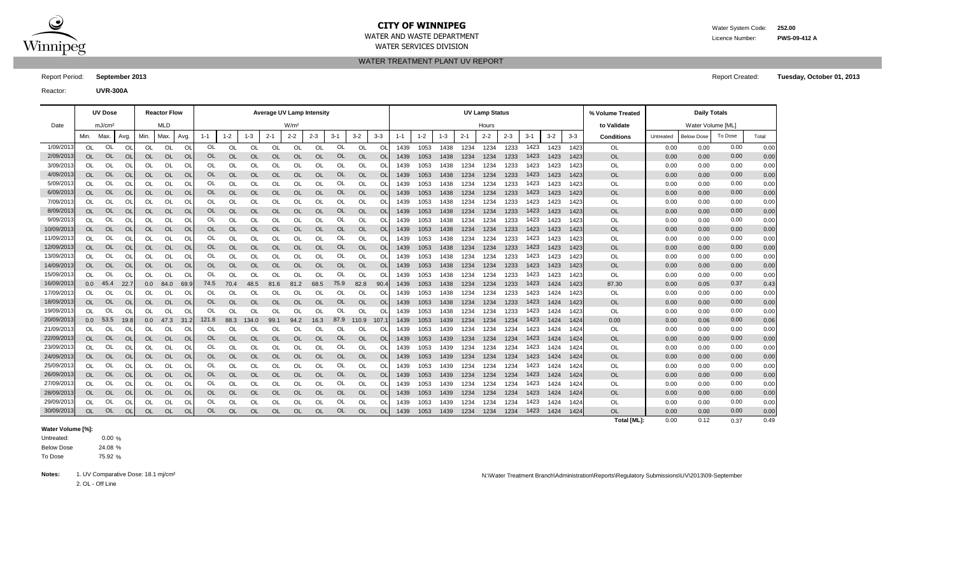

### **CITY OF WINNIPEG** WATER System Code: 252.00

WATER AND WASTE DEPARTMENT WATER SERVICES DIVISION

WATER TREATMENT PLANT UV REPORT

Report Period: **September 2013** Report Created: **Tuesday, October 01, 2013**

Reactor: **UVR-300A**

**% Volume Treated to Validate** Min. Max. | Avg. | Min. | Max. | Avg. | 1-1 | 1-2 | 1-3 | 2-1 | 2-2 | 2-3 | 3-1 | 3-2 | 3-3 | 3-3 | 3-3 | 3-3 | 3-3 | Conditions | Untreated | Below Dose | Total OL OL OL| OL OL| OL OL OL OL OL OL OL OL OL OL| 1439 1053 1438 1234 1234 1233 1423 1423 1423| OL | 0.00 0.00 0.00 0.00 0.00 OL OL OL OL OL OL OL OL OL OL OL OL 1439 1053 1438 1234 1234 1233 1423 1423 OL 0.00 0.00 0.00 OL OL OL| OL OL| OL OL OL OL OL OL OL OL OL OL| 1439 1053 1438 1234 1233 1423 1423 1423| OL | 0.00 0.00 0.00 0.00 0.00 OL OL OL OL OL OL OL OL OL OL OL OL 1439 1053 1438 1234 1234 1233 1423 1423 OL 0.00 0.00 0.00 OL OL OL| OL OL| OL OL OL OL OL OL OL OL OL OL| 1439 1053 1438 1234 1234 1233 1423 1423 1423| OL | 0.00 0.00 0.00 0.00 0.00 OL OL OL OL OL OL OL OL OL OL OL OL 1439 1053 1438 1234 1234 1233 1423 1423 OL 0.00 0.00 0.00 OL OL OL| OL OL| OL OL OL OL OL OL OL OL OL OL| 1439 1053 1438 1234 1234 1233 1423 1423 1423| OL | 0.00 0.00 0.00 0.00 0.00 OL OL OL| OL OL| OL OL OL OL OL OL OL OL OL OL| 1439 1053 1438 1234 1233 1423 1423 1423| OL | 0.00 0.00 0.00 0.00 0.00 OL OL OL| OL OL| OL OL OL OL OL OL OL OL OL OL| 1439 1053 1438 1234 1234 1233 1423 1423 1423| OL | 0.00 0.00 0.00 0.00 0.00 OL OL OL OL OL OL OL OL OL OL OL OL 1439 1053 1438 1234 1234 1233 1423 1423 OL 0.00 0.00 0.00 OL OL OL| OL OL| OL OL OL OL OL OL OL OL OL OL| 1439 1053 1438 1234 1233 1423 1423 1423| OL | 0.00 0.00 0.00 0.00 0.00 OL OL OL OL OL OL OL OL OL OL OL OL 1439 1053 1438 1234 1234 1233 1423 1423 OL 0.00 0.00 0.00 OL OL OL| OL OL| OL OL OL OL OL OL OL OL OL OL| 1439 1053 1438 1234 1233 1423 1423 1423| OL | 0.00 0.00 0.00 0.00 0.00 OL OL OL OL OL OL OL OL OL OL OL OL 1439 1053 1438 1234 1234 1233 1423 1423 OL 0.00 0.00 0.00 OL OL OL| OL OL| OL OL OL OL OL OL OL OL OL OL| 1439 1053 1438 1234 1234 1233 1423 1423 1423| OL | 0.00 0.00 0.00 0.00 0.00 0.0 22.7 0.0 84.0 69.9 70.4 48.5 81.6 81.2 68.5 82.8 90.4 1439 1053 1438 1234 1234 1233 1424 1423 87.30 0.00 0.05 0.43 OL OL OL| OL OL| OL OL OL OL OL OL OL OL OL OL| 1439 1053 1438 1234 1234 1233 1423 1424 1423| OL | 0.00 0.00 0.00 0.00 0.00 OL OL OL| OL OL| OL OL OL OL OL OL OL OL OL OL| 1439 1053 1438 1234 1234 1233 1423 1424 1423| OL | 0.00 0.00 0.00 0.00 0.00 OL OL OL| OL OL| OL OL OL OL OL OL OL OL OL OL| 1439 1053 1438 1234 1234 1233 1423 1424 1423| OL | 0.00 0.00 0.00 0.00 0.00 0.0 53.5 19.8| 0.0 47.3 31.2| 121.8 88.3 134.0 99.1 94.2 16.3 87.9 110.9 107.1| 1439 1053 1439 1234 1234 1234 1423 1424 1424| 0.00 | 0.00 0.06 0.00 0.00 0.00 0.00 OL OL OL| OL OL| OL OL OL OL OL OL OL OL OL OL| 1439 1053 1439 1234 1234 1234 1423 1424 1424| OL | 0.00 0.00 0.00 0.00 0.00 OL OL OL OL OL OL OL OL OL OL OL OL 1439 1053 1439 1234 1234 1234 1424 1424 OL 0.00 0.00 0.00 OL OL OL OL OL OL OL OL OL OL OL OL 1439 1053 1439 1234 1234 1234 1424 1424 OL 0.00 0.00 0.00 OL OL OL OL OL OL OL OL OL OL OL OL 1439 1053 1439 1234 1234 1234 1424 1424 OL 0.00 0.00 0.00 OL OL OL| OL OL| OL OL OL OL OL OL OL OL OL OL| 1439 1053 1439 1234 1234 1234 1423 1424 1424| OL | 0.00 0.00 0.00 0.00 0.00 OL OL OL OL OL OL OL OL OL OL OL OL 1439 1053 1439 1234 1234 1234 1424 1424 OL 0.00 0.00 0.00 OL OL OL| OL OL| OL OL OL OL OL OL OL OL OL OL| 1439 1053 1439 1234 1234 1234 1423 1424 1424| OL | 0.00 0.00 0.00 0.00 0.00 OL OL OL OL OL OL OL OL OL OL OL OL 1439 1053 1439 1234 1234 1234 1424 1424 OL 0.00 0.00 0.00 OL OL OL| OL OL| OL OL OL OL OL OL OL OL OL OL| 1439 1053 1439 1234 1234 1234 1423 1424 1424| OL | 0.00 0.00 0.00 0.00 0.00 OL OL OL OL OL OL OL OL OL OL OL OL 1439 1053 1439 1234 1234 1234 1424 1424 OL 0.00 0.00 0.00 **Total [ML]:** 0.00 0.12 0.49 0.37 30/09/2013| OL OL OL| OL OL| OL OL OL OL OL OL OL OL OL| 1439 1053 1439 1234 1234 1234 1423 1424 1424| OL | 0.00 0.00 0.00 29/09/2013| OL OL OL| OL OL| OL OL OL OL OL OL OL OL OL| 1439 1053 1439 1234 1234 1234 1423 1424 1424| OL | 0.00 0.00 0.00 28/09/2013| OL OL OL| OL OL| OL OL OL OL OL OL OL OL OL| 1439 1053 1439 1234 1234 1234 1423 1424 1424| OL | 0.00 0.00 0.00 27/09/2013| OL OL OL| OL OL| OL OL OL OL OL OL OL OL OL| 1439 1053 1439 1234 1234 1234 1423 1424 1424| OL | 0.00 0.00 0.00 26/09/2013| OL OL OL| OL OL| OL OL OL OL OL OL OL OL OL| 1439 1053 1439 1234 1234 1234 1423 1424 1424| OL | 0.00 0.00 0.00 25/09/2013| OL OL OL| OL OL| OL OL OL OL OL OL OL OL OL| 1439 1053 1439 1234 1234 1234 1423 1424 1424| OL | 0.00 0.00 0.00 24/09/2013| OL OL OL| OL OL| OL OL OL OL OL OL OL OL OL| 1439 1053 1439 1234 1234 1234 1423 1424 1424| OL | 0.00 0.00 0.00 23/09/2013| OL OL OL| OL OL| OL OL OL OL OL OL OL OL OL| 1439 1053 1439 1234 1234 1234 1423 1424 1424| OL | 0.00 0.00 0.00 22/09/2013| OL OL OL| OL OL| OL OL OL OL OL OL OL OL OL| 1439 1053 1439 1234 1234 1234 1423 1424 1424| OL | 0.00 0.00 0.00 21/09/2013| OL OL OL| OL OL| OL OL OL OL OL OL OL OL OL| 1439 1053 1439 1234 1234 1234 1423 1424 1424| OL | 0.00 0.00 0.00 20/09/2013| 0.0 53.5 19.8| 0.0 47.3 31.2| 121.8 88.3 134.0 99.1 94.2 16.3 87.9 110.9 107.1| 1439 1053 1439 1234 1234 1234 1423 1424 1424| 0.00 | 0.00 0.06 0.00 19/09/2013 OL OL OL 1423 0.00 18/09/2013 OL OL OL 1423 0.00 17/09/2013 OL OL OL 1423 0.00 16/09/2013| 0.0 45.4 22.7| 0.0 84.0 69.9| 74.5 70.4 48.5 81.6 81.2 68.5 75.9 82.8 90.4| 1439 1053 1438 1234 1234 1233 1423 1424 1423| 87.30 | 0.00 0.05 0.37 15/09/2013| OL OL OL| OL OL| OL OL OL OL OL OL OL OL OL| 1439 1053 1438 1234 1234 1233 1423 1423| OL | 0.00 0.00 0.00 14/09/2013| OL OL OL| OL OL| OL OL OL OL OL OL OL OL OL| 1439 1053 1438 1234 1234 1233 1423 1423| OL | 0.00 0.00 0.00 13/09/2013| OL OL OL| OL OL| OL OL OL OL OL OL OL OL OL| 1439 1053 1438 1234 1234 1233 1423 1423| OL | 0.00 0.00 0.00 12/09/2013 OL OL OL 1423 0.00 11/09/2013| OL OL OL| OL OL| OL OL OL OL OL OL OL OL OL| 1439 1053 1438 1234 1234 1233 1423 1423| OL | 0.00 0.00 0.00 10/09/2013| OL OL OL| OL OL| OL OL OL OL OL OL OL OL OL| 1439 1053 1438 1234 1234 1233 1423 1423| OL | 0.00 0.00 0.00 9/09/2013| OL OL OL| OL OL| OL OL OL OL OL OL OL OL OL| 1439 1053 1438 1234 1234 1233 1423 1423 1423 OL | 0.00 0.00 0.00 8/09/2013| OL OL OL| OL OL| OL OL OL OL OL OL OL OL OL| 1439 1053 1438 1234 1234 1233 1423 1423| OL | 0.00 0.00 0.00 7/09/2013| OL OL OL| OL OL| OL OL OL OL OL OL OL OL OL| 1439 1053 1438 1234 1234 1233 1423 1423 1423 OL | 0.00 0.00 0.00 6/09/2013| OL OL OL| OL OL| OL OL OL OL OL OL OL OL OL| 1439 1053 1438 1234 1234 1233 1423 1423| OL | 0.00 0.00 0.00 5/09/2013| OL OL OL| OL OL| OL OL OL OL OL OL OL OL OL| 1439 1053 1438 1234 1234 1233 1423 1423 1423 OL | 0.00 0.00 0.00 4/09/2013| OL OL OL| OL OL| OL OL OL OL OL OL OL OL OL| 1439 1053 1438 1234 1234 1233 1423 1423| OL | 0.00 0.00 0.00 3/09/2013| OL OL OL| OL OL| OL OL OL OL OL OL OL OL OL| 1439 1053 1438 1234 1234 1233 1423 1423 1423 OL | 0.00 0.00 0.00 2/09/2013| OL OL OL| OL OL| OL OL OL OL OL OL OL OL OL| 1439 1053 1438 1234 1234 1233 1423 1423| OL | 0.00 0.00 0.00 1/09/2013| OL OL OL| OL OL| OL OL OL OL OL OL OL OL OL| 1439 1053 1438 1234 1234 1233 1423 1423 1423 OL | 0.00 0.00 0.00 Max. | Avg. | Min. | Max. | Avg. | 1-1 | 1-2 | 1-3 | 2-1 | 2-2 | 2-3 | 3-1 | 3-2 | 3-3 | 1-1 | 1-2 | 1-3 | 2-1 | 2-2 | 2-3 | 3-1 | 3-2 | 3-3 | Conditions | Untreated | Below Dose | To Dose Date | mJ/cm² | MLD | w/m² W/m² | Hours Hours Hours | t**o Validate | W**ater Volume [ML] **UV Dose Reactor Flow Average UV Lamp Intensity UV Lamp Status Daily Totals**

#### **Water Volume [%]:**

 $0.00%$ 24.08 % 75.92 % To Dose Below Dose Untreated:

Notes: 1. UV Comparative Dose: 18.1 mj/cm<sup>2</sup> and the Minister Treatment Branch\Administration\Reports\Regulatory Submissions\UV\2013\09-September

2. OL - Off Line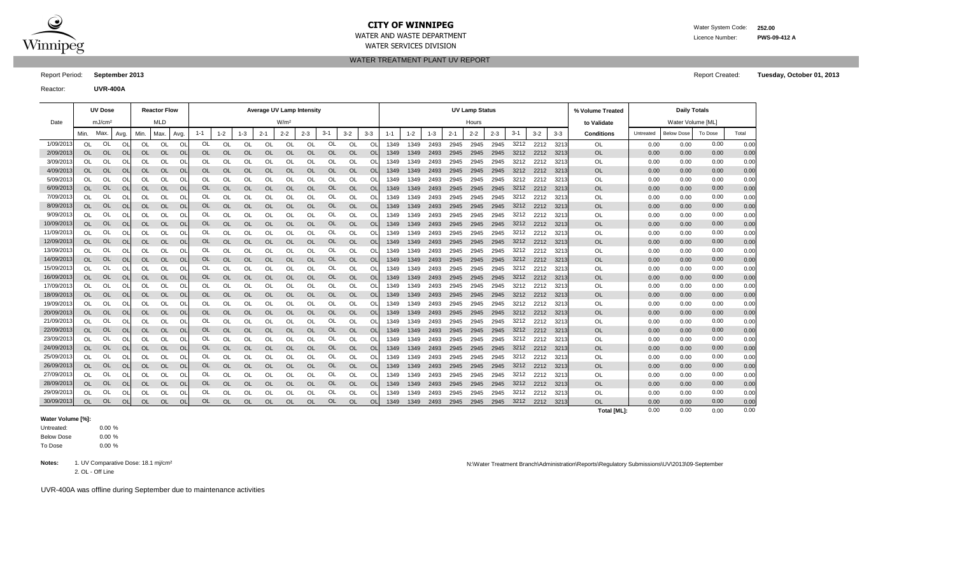

## **CITY OF WINNIPEG** WATER System Code: 252.00

WATER SERVICES DIVISION

WATER TREATMENT PLANT UV REPORT

WATER AND WASTE DEPARTMENT **Licence Number: PWS-09-412 A** 

Reactor: **UVR-400A**

Report Period: **September 2013** Report Created: **Tuesday, October 01, 2013**

|            |           | <b>UV Dose</b>     |           |           | <b>Reactor Flow</b> |                |         |               |               |           | <b>Average UV Lamp Intensity</b> |           |               |           |                |         |         |         |         | <b>UV Lamp Status</b> |         |       |         |         | % Volume Treated   |           | <b>Daily Totals</b> |         |       |
|------------|-----------|--------------------|-----------|-----------|---------------------|----------------|---------|---------------|---------------|-----------|----------------------------------|-----------|---------------|-----------|----------------|---------|---------|---------|---------|-----------------------|---------|-------|---------|---------|--------------------|-----------|---------------------|---------|-------|
| Date       |           | mJ/cm <sup>2</sup> |           |           | MLD                 |                |         |               |               |           | W/m <sup>2</sup>                 |           |               |           |                |         |         |         |         | Hours                 |         |       |         |         | to Validate        |           | Water Volume [ML]   |         |       |
|            | Min.      | Max                | Avg.      | Min.      | Max.                | Avg.           | $1 - 1$ | $1 - 2$       | $1 - 3$       | $2 - 1$   | $2 - 2$                          | $2 - 3$   | $3 - 1$       | $3-2$     | $3-3$          | $1 - 1$ | $1 - 2$ | $1 - 3$ | $2 - 1$ | $2 - 2$               | $2 - 3$ | $3-1$ | $3 - 2$ | $3 - 3$ | <b>Conditions</b>  | Untreated | <b>Below Dose</b>   | To Dose | Total |
| 1/09/201   | <b>OL</b> | <b>OL</b>          | OL        | OL        | OL                  | OL             | OL      | OL            | OL            | OL        | <b>OL</b>                        | OL        | OL            | OL        | O              | 1349    | 1349    | 2493    | 2945    | 2945                  | 2945    | 3212  | 2212    | 3213    | OL                 | 0.00      | 0.00                | 0.00    | 0.00  |
| 2/09/2013  | <b>OL</b> | OL                 | OL        | OL        | <b>OL</b>           | OL             | OL      | OL            | <b>OL</b>     | <b>OL</b> | OL                               | <b>OL</b> | <b>OL</b>     | <b>OL</b> | . Ol           | 1349    | 1349    | 2493    | 2945    | 2945                  | 2945    | 3212  | 2212    | 3213    | <b>OL</b>          | 0.00      | 0.00                | 0.00    | 0.00  |
| 3/09/201   | OL        | OL                 | OL        | OL        | OL                  | Ol             | OL      | OL            | OL            | OL        | OL                               | OL        | OL            | OL        | Ol             | 1349    | 1349    | 2493    | 2945    | 2945                  | 2945    | 3212  | 2212    | 321     | OL                 | 0.00      | 0.00                | 0.00    | 0.00  |
| 4/09/201   | OL        | OL                 | OL        | OL        | OL                  | <b>OL</b>      | OL      | OL            | <b>OL</b>     | OL        | <b>OL</b>                        | <b>OL</b> | <b>OL</b>     | <b>OL</b> | $\Omega$       | 1349    | 1349    | 2493    | 2945    | 2945                  | 2945    | 3212  | 2212    | 321     | OL                 | 0.00      | 0.00                | 0.00    | 0.00  |
| 5/09/201   | OL        | OL                 | Ol        | OL        | OL                  | Ol             | OL      | OL            | OL            | OL        | Οl                               | OL        | OL            | OL        | O              | 1349    | 1349    | 2493    | 2945    | 2945                  | 2945    | 3212  | 2212    | 321     | OL                 | 0.00      | 0.00                | 0.00    | 0.00  |
| 6/09/201   | <b>OL</b> | OL                 | OL        | OL        | <b>OL</b>           | <b>OL</b>      | OL      | OL            | <b>OL</b>     | OL        | OL                               | <b>OL</b> | <b>OL</b>     | <b>OL</b> | $\overline{O}$ | 1349    | 1349    | 2493    | 2945    | 2945                  | 2945    | 3212  | 2212    | 3213    | <b>OL</b>          | 0.00      | 0.00                | 0.00    | 0.00  |
| 7/09/201   | OL        | OL                 | Ol        | OL        | OL                  | Ol             | OL      | OL            | OL            | OL        | OL                               | OL        | OL            | OL        | O              | 1349    | 1349    | 2493    | 2945    | 2945                  | 2945    | 3212  | 2212    | 321     | OL                 | 0.00      | 0.00                | 0.00    | 0.00  |
| 8/09/201   | OL        | OL                 | Ol        | OL        | OL                  | $\overline{O}$ | OL      | OL            | <b>OL</b>     | OL        | OL                               | <b>OL</b> | <b>OL</b>     | <b>OL</b> | O              | 1349    | 1349    | 2493    | 2945    | 2945                  | 2945    | 3212  | 2212    | 3213    | OL                 | 0.00      | 0.00                | 0.00    | 0.00  |
| 9/09/201   | OL        | OL                 | Ol        | OL        | OL                  | O              | OL      | Ol            | OL            | OL        | Ōl                               | OL        | OL            | OL        | Ol             | 1349    | 1349    | 2493    | 2945    | 2945                  | 2945    | 3212  | 2212    | 321     | OL                 | 0.00      | 0.00                | 0.00    | 0.00  |
| 10/09/2013 | <b>OL</b> | OL                 | OL        | <b>OL</b> | OL                  | <b>OL</b>      | OL      | OL            | <b>OL</b>     | <b>OL</b> | OL                               | <b>OL</b> | OL            | <b>OL</b> | $\Omega$       | 1349    | 1349    | 2493    | 2945    | 2945                  | 2945    | 3212  | 2212    | 3213    | OL                 | 0.00      | 0.00                | 0.00    | 0.00  |
| 11/09/2013 | OL        | OL                 | OL        | OL        | OL                  | OL             | OL      | OL            | OL            | OL        | OL                               | OL        | OL            | OL        | Ol             | 1349    | 1349    | 2493    | 2945    | 2945                  | 2945    | 3212  | 2212    | 321     | OL                 | 0.00      | 0.00                | 0.00    | 0.00  |
| 12/09/2013 | <b>OL</b> | OL                 | <b>OL</b> | <b>OL</b> | <b>OL</b>           | OL             | OL      | OL            | <b>OL</b>     | <b>OL</b> | OL                               | <b>OL</b> | <b>OL</b>     | <b>OL</b> | Οl             | 1349    | 1349    | 2493    | 2945    | 2945                  | 2945    | 3212  | 2212    | 3213    | <b>OL</b>          | 0.00      | 0.00                | 0.00    | 0.00  |
| 13/09/201  | OL        | OL                 | Ol        | OL        | OL                  | Ol             | OL      | OL            | OL            | OL        | OL                               | OL        | OL            | OL        | Ol             | 1349    | 1349    | 2493    | 2945    | 2945                  | 2945    | 3212  | 2212    | 321     | OL                 | 0.00      | 0.00                | 0.00    | 0.00  |
| 14/09/201  | <b>OL</b> | OL                 | OL        | <b>OL</b> | OL                  | <b>OL</b>      | OL      | OL            | <b>OL</b>     | <b>OL</b> | OL                               | <b>OL</b> | <b>OL</b>     | OL        | $\Omega$       | 1349    | 1349    | 2493    | 2945    | 2945                  | 2945    | 3212  | 2212    | 3213    | OL                 | 0.00      | 0.00                | 0.00    | 0.00  |
| 15/09/201  | OL        | OL                 | OI        | OL        | OL                  | Ol             | OL      | <sup>OL</sup> | <sup>OL</sup> | OL        | OL                               | OL        | OL            | OL        | O              | 1349    | 1349    | 2493    | 2945    | 2945                  | 2945    | 3212  | 2212    | 321     | OL                 | 0.00      | 0.00                | 0.00    | 0.00  |
| 16/09/201  | OL        | OL                 | <b>OL</b> | OL        | <b>OL</b>           | OL             | OL      | OL            | <b>OL</b>     | OL        | OL                               | <b>OL</b> | <b>OL</b>     | <b>OL</b> | O              | 1349    | 1349    | 2493    | 2945    | 2945                  | 2945    | 3212  | 2212    | 3213    | <b>OL</b>          | 0.00      | 0.00                | 0.00    | 0.00  |
| 17/09/201  | OL        | OL                 | Ol        | OL        | OL                  | O              | OL      | OL            | OL            | OL        | OL                               | OL        | OL            | OL        | O              | 1349    | 1349    | 2493    | 2945    | 2945                  | 2945    | 3212  | 2212    | 321     | OL                 | 0.00      | 0.00                | 0.00    | 0.00  |
| 18/09/2013 | OL        | OL                 | OL        | OL        | <b>OL</b>           | <b>OL</b>      | OL      | OL            | <b>OL</b>     | OL        | OL                               | <b>OL</b> | <b>OL</b>     | OL        | <b>Ol</b>      | 1349    | 1349    | 2493    | 2945    | 2945                  | 2945    | 3212  | 2212    | 3213    | OL                 | 0.00      | 0.00                | 0.00    | 0.00  |
| 19/09/201  | OL        | OL                 | OL        | OL        | OL                  | OL             | OL      | OL            | OL            | OL        | OL                               | OL        | OL            | OL        | Ol             | 1349    | 1349    | 2493    | 2945    | 2945                  | 2945    | 3212  | 2212    | 321     | OL                 | 0.00      | 0.00                | 0.00    | 0.00  |
| 20/09/2013 | <b>OL</b> | <b>OL</b>          | OL        | OL        | <b>OL</b>           | OL             | OL      | OL            | <b>OL</b>     | OL        | OL                               | <b>OL</b> | OL            | <b>OL</b> | $\Omega$       | 1349    | 1349    | 2493    | 2945    | 2945                  | 2945    | 3212  | 2212    | 321     | <b>OL</b>          | 0.00      | 0.00                | 0.00    | 0.00  |
| 21/09/2013 | OL        | OL                 | OL        | OL        | OL                  | OL             | OL      | OL            | OL            | OL        | OL                               | OL        | OL            | OL        | O              | 1349    | 1349    | 2493    | 2945    | 2945                  | 2945    | 3212  | 2212    | 3213    | <b>OL</b>          | 0.00      | 0.00                | 0.00    | 0.00  |
| 22/09/2013 | OL        | OL                 | OL        | OL        | OL                  | <b>OL</b>      | OL      | OL            | <b>OL</b>     | OL        | OL                               | OL        | <b>OL</b>     | <b>OL</b> | $\Omega$       | 1349    | 1349    | 2493    | 2945    | 2945                  | 2945    | 3212  | 2212    | 321     | OL                 | 0.00      | 0.00                | 0.00    | 0.00  |
| 23/09/201  | OL        | OL                 | Ol        | OL        | OL                  | Ol             | OL      | OL            | OL            | OL        | OL                               | OL        | OL            | OL        | Ol             | 1349    | 1349    | 2493    | 2945    | 2945                  | 2945    | 3212  | 2212    | 321     | OL                 | 0.00      | 0.00                | 0.00    | 0.00  |
| 24/09/201  | <b>OL</b> | OL                 | OL        | OL        | <b>OL</b>           | OL             | OL      | OL            | <b>OL</b>     | <b>OL</b> | OL                               | <b>OL</b> | <b>OL</b>     | <b>OL</b> | O <sub>l</sub> | 1349    | 1349    | 2493    | 2945    | 2945                  | 2945    | 3212  | 2212    | 3213    | OL                 | 0.00      | 0.00                | 0.00    | 0.00  |
| 25/09/201  | OL        | OL                 | Ol        | OL        | OL                  | O              | OL      | OL            | OL            | OL        | OL                               | OL        | <sup>OL</sup> | OL        | O              | 1349    | 1349    | 2493    | 2945    | 2945                  | 2945    | 3212  | 2212    | 321     | OL                 | 0.00      | 0.00                | 0.00    | 0.00  |
| 26/09/201  | <b>OL</b> | OL                 | OL        | OL        | OL                  | $\overline{O}$ | OL      | OL            | <b>OL</b>     | OL        | OL                               | OL        | <b>OL</b>     | OL        | O              | 1349    | 1349    | 2493    | 2945    | 2945                  | 2945    | 3212  | 2212    | 3213    | OL                 | 0.00      | 0.00                | 0.00    | 0.00  |
| 27/09/201  | OL        | OL                 | Ol        | OL        | OL                  | O              | OL      | OL            | <sup>OL</sup> | OL        | OL                               | OL        | OL            | OL        | Οl             | 1349    | 1349    | 2493    | 2945    | 2945                  | 2945    | 3212  | 2212    | 321     | OL                 | 0.00      | 0.00                | 0.00    | 0.00  |
| 28/09/2013 | <b>OL</b> | OL                 | OL        | OL        | OL                  | Ol             | OL      | <b>OL</b>     | <b>OL</b>     | <b>OL</b> | OL                               | <b>OL</b> | OL            | <b>OL</b> | $\Omega$       | 1349    | 1349    | 2493    | 2945    | 2945                  | 2945    | 3212  | 2212    | 3213    | OL                 | 0.00      | 0.00                | 0.00    | 0.00  |
| 29/09/201  | OL        | OL                 | OL        | OL        | OL                  | OL             | OL      | OL            | OL            | OL        | OL                               | OL        | OL            | OL        | Οl             | 1349    | 1349    | 2493    | 2945    | 2945                  | 2945    | 3212  | 2212    | 3213    | OL                 | 0.00      | 0.00                | 0.00    | 0.00  |
| 30/09/2013 | OL        | OL                 | OL        | OL        | OL                  | OL             | OL      | OL            | <b>OL</b>     | OL        | OL                               | <b>OL</b> | <b>OL</b>     | OL        | Ol             | 1349    | 1349    | 2493    | 2945    | 2945                  | 2945    | 3212  | 2212    | 3213    | OL                 | 0.00      | 0.00                | 0.00    | 0.00  |
|            |           |                    |           |           |                     |                |         |               |               |           |                                  |           |               |           |                |         |         |         |         |                       |         |       |         |         | <b>Total IMLI:</b> | 0.00      | 0.00                | 0.00    | 0.00  |

#### **Water Volume [%]:**

0.00 %  $0.00 \%$ 0.00 % To Dose Below Dose Untreated:

2. OL - Off Line

### Notes: 1. UV Comparative Dose: 18.1 mj/cm<sup>2</sup> N:\Water Treatment Branch\Administration\Reports\Regulatory Submissions\UV\2013\09-September

UVR-400A was offline during September due to maintenance activities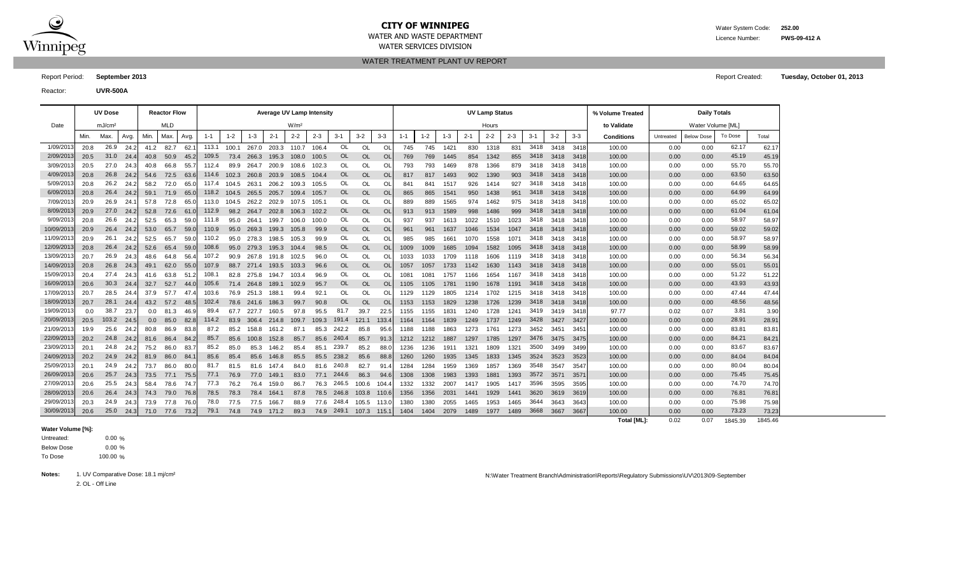

# **CITY OF WINNIPEG** WATER WATER WATER System Code: 252.00

WATER SERVICES DIVISION

WATER AND WASTE DEPARTMENT **EXECUTE A SERVICE SERVICE SERVICE SERVICE OF A SERVICE SERVICE PWS-09-412 A** 

WATER TREATMENT PLANT UV REPORT

Report Period: **September 2013** Report Created: **Tuesday, October 01, 2013**

Reactor: **UVR-500A**

|                          |      | <b>UV Dose</b>     |       |      | <b>Reactor Flow</b> |       |         |         |             |                   | <b>Average UV Lamp Intensity</b> |         |                |           |                |         |                  |         |              | <b>UV Lamp Status</b> |              |              |              |              | % Volume Treated  |              | <b>Daily Totals</b> |                |                |
|--------------------------|------|--------------------|-------|------|---------------------|-------|---------|---------|-------------|-------------------|----------------------------------|---------|----------------|-----------|----------------|---------|------------------|---------|--------------|-----------------------|--------------|--------------|--------------|--------------|-------------------|--------------|---------------------|----------------|----------------|
| Date                     |      | mJ/cm <sup>2</sup> |       |      | <b>MLD</b>          |       |         |         |             |                   | W/m <sup>2</sup>                 |         |                |           |                |         |                  |         |              | Hours                 |              |              |              |              | to Validate       |              | Water Volume [ML]   |                |                |
|                          | Min. | Max.               | Avg.  | Min. | Max.                | Avg.  | $1 - 1$ | $1 - 2$ | $1 - 3$     | $2 - 1$           | $2 - 2$                          | $2 - 3$ | $3-1$          | $3-2$     | $3-3$          | $1 - 1$ | $1 - 2$          | $1 - 3$ | $2 - 1$      | $2 - 2$               | $2 - 3$      | $3-1$        | $3 - 2$      | $3-3$        | <b>Conditions</b> | Untreated    | <b>Below Dose</b>   | To Dose        | Total          |
| 1/09/2013                | 20.8 | 26.9               | 24.2  |      | 41.2 82.7           | 62.1  | 113.1   | 100.1   |             | 267.0 203.3 110.7 |                                  | 106.4   | <b>OL</b>      | OL        | <sup>OL</sup>  | 745     | 745              | 1421    | 830          | 1318                  | 831          | 3418         | 3418         | 3418         | 100.00            | 0.00         | 0.00                | 62.17          | 62.17          |
| 2/09/2013                | 20.5 | 31.0               | 24.4  | 40.8 | 50.9                | 45.2  | 109.5   | 73.4    | 266.3       | 195.3             | 108.0                            | 100.5   | OL             | <b>OL</b> | OL             | 769     | 769              | 1445    | 854          | 1342                  | 855          | 3418         | 3418         | 3418         | 100.00            | 0.00         | 0.00                | 45.19          | 45.19          |
| 3/09/201                 | 20.5 | 27.0               | 24.3  | 40.8 | 66.8                | 55.7  | 112.4   | 89.9    | 264.7       | 200.9             | 108.6                            | 102.3   | OL             | OL        | <sup>O</sup> L | 793     | 793              | 1469    | 878          | 1366                  | 879          | 3418         | 3418         | 3418         | 100.00            | 0.00         | 0.00                | 55.70          | 55.70          |
| 4/09/2013                | 20.8 | 26.8               | -24.2 | 54.6 | 72.5                | 63.6  | 114.6   | 102.3   | 260.8       | 203.9             | 108.5                            | 104.4   | OL             | <b>OL</b> | <b>OL</b>      | 817     | 817              | 1493    | 902          | 1390                  | 903          | 3418         | 3418         | -3418        | 100.00            | 0.00         | 0.00                | 63.50          | 63.50          |
| 5/09/201                 | 20.8 | 26.2               | 24.2  | 58.2 | 72.0                | 65.C  | 117.4   | 104.5   | 263.1       | 206.2             | 109.3                            | 105.5   | OL             | OL        | OL             | 841     | 841              | 1517    | 926          | 1414                  | 927          | 3418         | 3418         | 3418         | 100.00            | 0.00         | 0.00                | 64.65          | 64.65          |
| 6/09/2013                | 20.8 | 26.4               | 24.2  |      | 59.1 71.9           | 65.0  | 118.2   | 104.5   |             | 265.5 205.7 109.4 |                                  | 105.7   | OL             | <b>OL</b> | <b>OL</b>      | 865     | 865              | 1541    | 950          | 1438                  | 951          | 3418         | 3418         | - 3418       | 100.00            | 0.00         | 0.00                | 64.99          | 64.99          |
| 7/09/2013                | 20.9 | 26.9               | 24.   | 57.8 | 72.8                | 65.C  | 113.0   | 104.5   |             | 262.2 202.9       | 107.5                            | 105.1   | OL             | OL        | OL             | 889     | 889              | 1565    | 974          | 1462                  | 975          | 3418         | 3418         | 3418         | 100.00            | 0.00         | 0.00                | 65.02          | 65.02          |
| 8/09/2013                | 20.9 | 27.0               | 24.2  | 52.8 | 72.6                | 61.0  | 112.9   | 98.2    | 264.7       | 202.8             | 106.3                            | 102.2   | OL             | <b>OL</b> | <b>OL</b>      | 913     | 913              | 1589    | 998          | 1486                  | 999          | 3418         | 3418         | 3418         | 100.00            | 0.00         | 0.00                | 61.04          | 61.04          |
| 9/09/2013                | 20.8 | 26.6               | 24.2  | 52.5 | 65.3                | 59.0  | 111.8   | 95.0    | 264.1       | 199.7             | 106.0                            | 100.0   | OL             | OL        | O              | 937     | 937              | 1613    | 1022         | 1510                  | 1023         | 3418         | 3418         | 3418         | 100.00            | 0.00         | 0.00                | 58.97          | 58.97          |
| 10/09/2013               | 20.9 | 26.4               | 24.2  | 53.0 | 65.7                | 59.0  | 110.9   | 95.0    | 269.3       | 199.3             | 105.8                            | 99.9    | <b>OL</b>      | <b>OL</b> | <b>OL</b>      | 961     | 961              | 1637    | 1046         | 1534                  | 1047         | 3418         | 3418         | -3418        | 100.00            | 0.00         | 0.00                | 59.02          | 59.02          |
| 11/09/201                | 20.9 | 26.1               | 24.2  | 52.5 | 65.7                | 59.0  | 110.2   | 95.0    | 278.3       | 198.5             | 105.3                            | 99.9    | OL             | OL        | OL             | 985     | 985              | 1661    | 1070         | 1558                  | 1071         | 3418         | 3418         | 3418         | 100.00            | 0.00         | 0.00                | 58.97          | 58.97          |
| 12/09/2013               | 20.8 | 26.4               | 24.2  | 52.6 | 65.4                | 59.0  | 108.6   | 95.0    | 279.3       | 195.3             | 104.4                            | 98.5    | OL             | <b>OL</b> | <b>OL</b>      | 1009    | 1009             | 1685    | 1094         | 1582                  | 1095         | 3418         | 3418         | - 3418       | 100.00            | 0.00         | 0.00                | 58.99          | 58.99          |
| 13/09/2013               | 20.7 | 26.9               | 24.3  | 48.6 | 64.8                | 56.4  | 107.2   | 90.9    | 267.8       | 191.8             | 102.5                            | 96.0    | OL             | OL        | $\Omega$       | 1033    | 1033             | 1709    | 1118         | 1606                  | 1119         | 3418         | 3418         | 3418         | 100.00            | 0.00         | 0.00                | 56.34          | 56.34          |
| 14/09/2013               | 20.8 | 26.8               | 24.3  | 49.1 | 62.0                | 55.0  | 107.9   | 88.7    | 271.4 193.5 |                   | 103.3                            | 96.6    | OL             | <b>OL</b> | OL             | 1057    | 1057             | 1733    | 1142         | 1630                  | 1143         | 3418         | 3418         | 3418         | 100.00            | 0.00         | 0.00                | 55.01          | 55.01          |
| 15/09/2013               | 20.4 | 27.4               | 24.3  | 41.6 | 63.8                | 51.2  | 108.1   | 82.8    | 275.8       | 194.7             | 103.4                            | 96.9    | OL             | OL        | <sup>O</sup> L | 1081    | 108 <sup>4</sup> | 1757    | 1166         | 1654                  | 1167         | 3418         | 3418         | 3418         | 100.00            | 0.00         | 0.00                | 51.22          | 51.22          |
| 16/09/2013               | 20.6 | 30.3               | 24.4  | 32.7 | 52.7                | 44.0  | 105.6   | 71.4    | 264.8       | 189.1             | 102.9                            | 95.7    | <b>OL</b>      | <b>OL</b> | OL             | 1105    | 1105             | 1781    | 1190         | 1678                  | 1191         | 3418         | 3418         | 3418         | 100.00            | 0.00         | 0.00                | 43.93          | 43.93          |
| 17/09/2013               | 20.7 | 28.5               | 24.4  | 37.9 | 57.7                | 47.4  | 103.6   | 76.9    | 251.3       | 188.1             | 99.4                             | 92.1    | OL             | OL        | OL             | 1129    | 1129             | 1805    | 1214         | 1702                  | 1215         | 3418         | 3418         | 3418         | 100.00            | 0.00         | 0.00                | 47.44          | 47.44          |
| 18/09/2013               | 20.7 | 28.1               | 24.   |      | 43.2 57.2           | 48.5  | 102.4   | 78.6    | 241.6       | 186.3             | 99.7                             | 90.8    | <b>OL</b>      | <b>OL</b> | OL             | 1153    | 1153             | 1829    | 1238         | 1726                  | 1239         | 3418         | 3418         | 3418         | 100.00            | 0.00         | 0.00                | 48.56          | 48.56          |
| 19/09/201                | 0.0  | 38.7               | 23.7  | 0.0  | 81.3                | 46.9  | 89.4    | 67.7    | 227.7       | 160.5             | 97.8                             | 95.5    | 81.7           | 39.7      | 22.            | 1155    | 1155             | 1831    | 1240         | 1728                  | 1241         | 3419         | 3419         | 3418         | 97.77             | 0.02         | 0.07                | 3.81           | 3.90           |
| 20/09/2013               | 20.5 | 103.2              | 24.5  | 0.0  | 85.0                | 82.8  | 114.2   | 83.9    | 306.4       | 214.8             | 109.7                            | 109.3   | 191.4          | 121.1     | 133.           | 1164    | 1164             | 1839    | 1249         | 1737                  | 1249         | 3428         | 3427         | 3427         | 100.00            | 0.00         | 0.00                | 28.91          | 28.91          |
| 21/09/201                | 19.9 | 25.6               | 24.2  | 80.8 | 86.9                | 83.8  | 87.2    | 85.2    | 158.8       | 161.2             | 87.1                             | 85.3    | 242.2          | 85.8      | 95.            | 1188    | 1188             | 1863    | 1273         | 176'                  | 1273         | 3452         | 3451         | 3451         | 100.00            | 0.00         | 0.00                | 83.81          | 83.81          |
| 22/09/2013               | 20.2 | 24.8               | 24.2  | 81.6 | 86.4                | 84.2  | 85.7    | 85.6    | 100.8       | 152.8             | 85.7                             | 85.6    | 240.4          | 85.7      | 91.3           | 1212    | 1212             | 1887    | 1297         | 1785                  | 1297         | 3476         | 3475         | 3475         | 100.00            | 0.00         | 0.00                | 84.21          | 84.21          |
| 23/09/2013               | 20.1 | 24.8               | -24.2 | 75.2 | 86.0                | 83.7  | 85.2    | 85.0    | 85.3        | 146.2             | 85.4                             | 85.1    | 239.7          | 85.2      | 88.            | 1236    | 1236             | 1911    | 1321         | 1809                  | 1321         | 3500         | 3499         | 3499         | 100.00            | 0.00         | 0.00                | 83.67          | 83.67          |
| 24/09/2013               | 20.2 | 24.9               | 24.2  | 81.9 | 86.0                | - 84. | 85.6    | 85.4    | 85.6        | 146.8             | 85.5                             | 85.5    | 238.2          | 85.6      | 88.            | 1260    | 1260             | 1935    | 1345         | 1833                  | 1345         | 3524         | 3523         | 3523         | 100.00            | 0.00         | 0.00                | 84.04          | 84.04          |
| 25/09/201                | 20.1 | 24.9               | 24.2  | 73.7 | 86.0                | 80.C  | 81.7    | 81.5    | 81.6        | 147.4             | 84.0                             | 81.6    | 240.8          | 82.7      | 91.4           | 1284    | 1284             | 1959    | 1369         | 1857                  | 1369         | 3548         | 3547         | 3547         | 100.00            | 0.00         | 0.00                | 80.04          | 80.04          |
| 26/09/2013               | 20.6 | 25.7               | 24.3  | 73.5 | 77.1                | 75.5  | 77.1    | 76.9    | 77.0        | 149.1             | 83.0                             | 77.1    | 244.6          | 86.3      | 94.6           | 1308    | 1308             | 1983    | 1393         | 1881                  | 1393         | 3572         | 3571         | 3571         | 100.00            | 0.00         | 0.00                | 75.45          | 75.45          |
| 27/09/2013               | 20.6 | 25.5               | 24.3  | 58.4 | 78.6                | - 74. | 77.3    | 76.2    | 76.4        | 159.0             | 86.7                             | 76.3    | 246.5          | 100.6     | 104.4          | 1332    | 1332             | 2007    | 1417         | 1905                  | 1417         | 3596         | 3595         | 3595         | 100.00            | 0.00         | 0.00                | 74.70          | 74.70          |
| 28/09/2013               | 20.6 | 26.4               | 24.3  | 74.3 | 79.0                | 76.8  | 78.5    | 78.3    | 78.4        | 164.1             | 87.8                             | 78.5    | 246.8          | 103.8     | 110.6          | 1356    | 1356             | 2031    | 1441         | 1929                  | 1441         | 3620         | 3619         | 3619         | 100.00            | 0.00         | 0.00                | 76.81          | 76.81          |
| 29/09/2013<br>30/09/2013 | 20.3 | 24.9<br>25.0       | 24.3  | 73.9 | 77.8                | 76.0  | 78.0    | 77.5    | 77.5        | 166.7             | 88.9                             | 77.6    | 248.4<br>249.1 | 105.5     | 113.           | 1380    | 1380             | 2055    | 1465<br>1489 | 1953<br>1977          | 1465<br>1489 | 3644<br>3668 | 3643<br>3667 | 3643<br>3667 | 100.00<br>100.00  | 0.00<br>0.00 | 0.00<br>0.00        | 75.98<br>73.23 | 75.98<br>73.23 |
|                          | 20.6 |                    | 24.3  | 71.0 | 77.6                | 73.2  | 79.1    | 74.8    | 74.9        | 171.2             | 89.3                             | 74.9    |                | 107.3     | 115.7          | 1404    | 1404             | 2079    |              |                       |              |              |              |              | Total [ML]:       | 0.02         | 0.07                | 1845.39        | 1845.46        |

#### **Water Volume [%]:**

0.00 % 0.00 % 100.00 % To Dose Below Dose Untreated:

N:\Water Treatment Branch\Administration\Reports\Regulatory Submissions\UV\2013\09-September

2. OL - Off Line